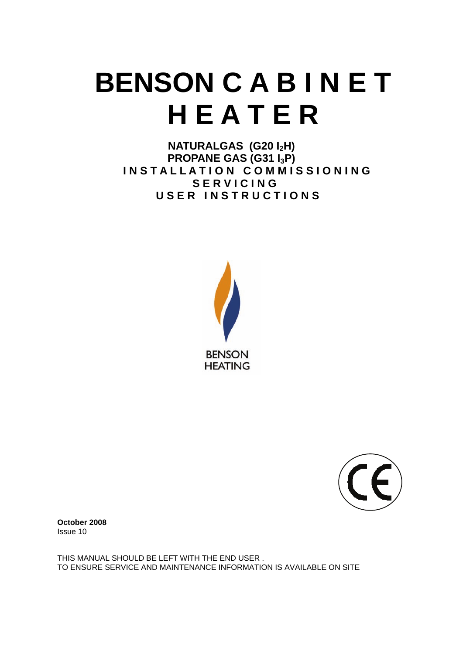# **BENSON C A B I N E T H E A T E R**

**NATURALGAS (G20 I2H) PROPANE GAS (G31 I3P) I N S T A L L A T I O N C O M M I S S I O N I N G S E R V I C I N G U S E R I N S T R U C T I O N S** 





**October 2008**  Issue 10

THIS MANUAL SHOULD BE LEFT WITH THE END USER . TO ENSURE SERVICE AND MAINTENANCE INFORMATION IS AVAILABLE ON SITE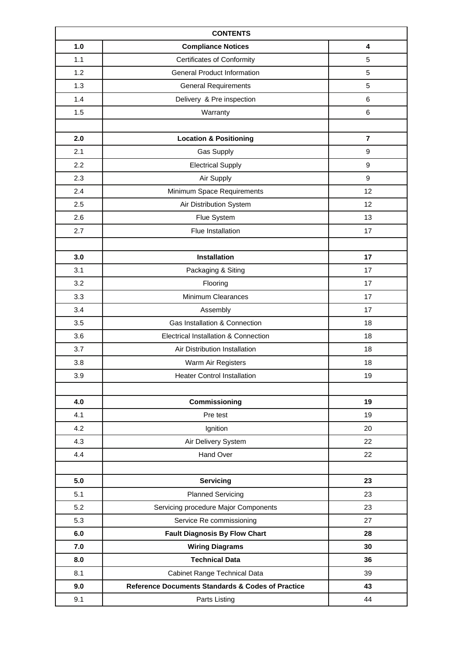| <b>CONTENTS</b> |                                                   |                  |  |
|-----------------|---------------------------------------------------|------------------|--|
| 1.0             | <b>Compliance Notices</b>                         | 4                |  |
| 1.1             | <b>Certificates of Conformity</b>                 | 5                |  |
| 1.2             | <b>General Product Information</b>                | 5                |  |
| 1.3             | <b>General Requirements</b>                       | 5                |  |
| 1.4             | Delivery & Pre inspection                         | 6                |  |
| 1.5             | Warranty                                          | $\,6\,$          |  |
|                 |                                                   |                  |  |
| 2.0             | <b>Location &amp; Positioning</b>                 | $\overline{7}$   |  |
| 2.1             | Gas Supply                                        | 9                |  |
| 2.2             | <b>Electrical Supply</b>                          | $\boldsymbol{9}$ |  |
| 2.3             | Air Supply                                        | $\boldsymbol{9}$ |  |
| 2.4             | Minimum Space Requirements                        | 12               |  |
| 2.5             | Air Distribution System                           | 12               |  |
| 2.6             | Flue System                                       | 13               |  |
| 2.7             | Flue Installation                                 | 17               |  |
|                 |                                                   |                  |  |
| 3.0             | Installation                                      | 17               |  |
| 3.1             | Packaging & Siting                                | 17               |  |
| 3.2             | Flooring                                          | 17               |  |
| 3.3             | Minimum Clearances                                | 17               |  |
| 3.4             | Assembly                                          | 17               |  |
| 3.5             | Gas Installation & Connection                     | 18               |  |
| 3.6             | Electrical Installation & Connection              | 18               |  |
| 3.7             | Air Distribution Installation                     | 18               |  |
| 3.8             | Warm Air Registers                                | 18               |  |
| 3.9             | <b>Heater Control Installation</b>                | 19               |  |
|                 |                                                   |                  |  |
| 4.0             | Commissioning                                     | 19               |  |
| 4.1             | Pre test                                          | 19               |  |
| 4.2             | Ignition                                          | 20               |  |
| 4.3             | Air Delivery System                               | 22               |  |
| 4.4             | Hand Over                                         | 22               |  |
|                 |                                                   |                  |  |
| 5.0             | <b>Servicing</b>                                  | 23               |  |
| 5.1             | <b>Planned Servicing</b>                          | 23               |  |
| 5.2             | Servicing procedure Major Components              | 23               |  |
| 5.3             | Service Re commissioning                          | 27               |  |
| 6.0             | <b>Fault Diagnosis By Flow Chart</b>              | 28               |  |
| 7.0             | <b>Wiring Diagrams</b>                            | 30               |  |
| 8.0             | <b>Technical Data</b>                             | 36               |  |
| 8.1             | Cabinet Range Technical Data                      | 39               |  |
| 9.0             | Reference Documents Standards & Codes of Practice | 43               |  |
| 9.1             | Parts Listing                                     | 44               |  |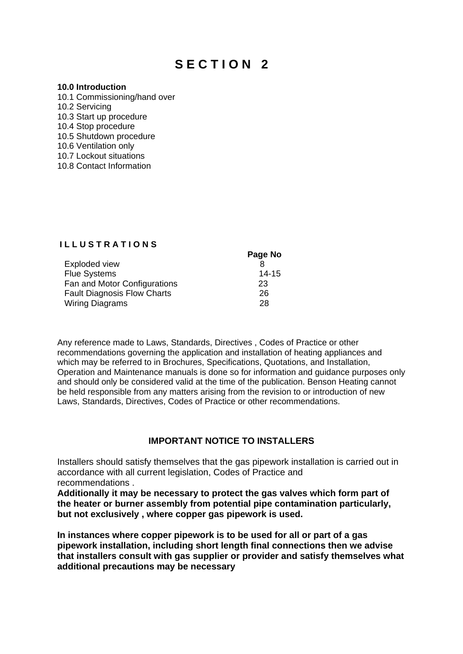# **SECTION 2**

#### **10.0 Introduction**

- **10.1 Commissioning/hand over**<br>10.1 Commissioning/hand over
- 10.2 Servicing
- 10.3 Start up procedure **Abuse 3 and 2 10.3 Start** up procedure
- 10.4 Stop procedure
- 10.5 Shutdown procedure<br>10.6 Number
- 10.6 Ventilation only
- 10.6 Ventilation only<br>10.7 Lockout situations
- 10.7 Lockout situations<br>10.8 Contact Information 10.0 World's information

#### **ILLUSTRATIONS**

|                                    | Page No   |
|------------------------------------|-----------|
| Exploded view                      |           |
| <b>Flue Systems</b>                | $14 - 15$ |
| Fan and Motor Configurations       | 23        |
| <b>Fault Diagnosis Flow Charts</b> | 26        |
| <b>Wiring Diagrams</b>             | 28        |
|                                    |           |

Any reference made to Laws, Standards, Directives, Codes of Practice or other recommendations governing the application and installation of heating appliances and which may be referred to in Brochures, Specifications, Quotations, and Installation, Operation and Maintenance manuals is done so for information and guidance purposes only and should only be considered valid at the time of the publication. Benson Heating cannot י<br>י Laws, Standards, Directives, Codes of Practice or other recommendations. be held responsible from any matters arising from the revision to or introduction of new

#### **IMPORTANT NOTICE TO INSTALLERS**

**5.0 Servicing 22**  accordance with all current legislation, Codes of Practice and recommendations . The commendations of the commendations of the commendations of the commendations of the commendations of the commendations of the commendations of the commendations of the commendations of the commendatio Installers should satisfy themselves that the gas pipework installation is carried out in

Additionally it may be necessary to protect the gas valves which form part of the heater or burner assembly from potential pipe contamination particularly, but not exclusively , where copper gas pipework is used.

In instances where copper pipework is to be used for all or part of a gas pipework installation, including short length final connections then we advise **9.0 Reference Documents** Standards, Codes of Practice **39 that installers consult with gas supplier or provider and satisfy themselves what**  additional precautions may be necessary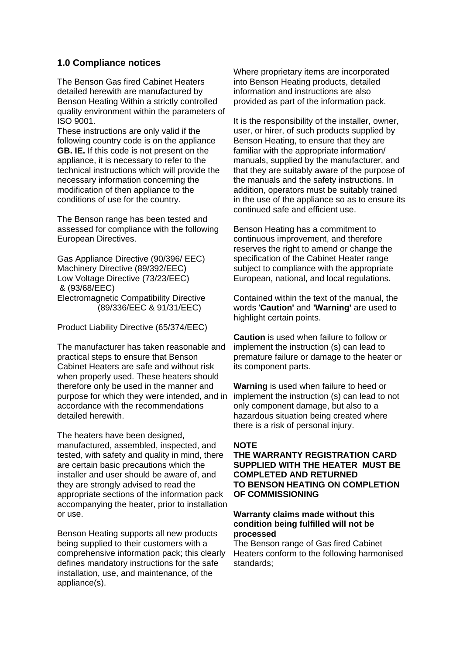#### **1.0 Compliance notices**

The Benson Gas fired Cabinet Heaters detailed herewith are manufactured by Benson Heating Within a strictly controlled quality environment within the parameters of ISO 9001.

These instructions are only valid if the following country code is on the appliance **GB. IE.** If this code is not present on the appliance, it is necessary to refer to the technical instructions which will provide the necessary information concerning the modification of then appliance to the conditions of use for the country.

The Benson range has been tested and assessed for compliance with the following European Directives.

Gas Appliance Directive (90/396/ EEC) Machinery Directive (89/392/EEC) Low Voltage Directive (73/23/EEC) & (93/68/EEC) Electromagnetic Compatibility Directive (89/336/EEC & 91/31/EEC)

Product Liability Directive (65/374/EEC)

The manufacturer has taken reasonable and practical steps to ensure that Benson Cabinet Heaters are safe and without risk when properly used. These heaters should therefore only be used in the manner and purpose for which they were intended, and in accordance with the recommendations detailed herewith.

The heaters have been designed, manufactured, assembled, inspected, and tested, with safety and quality in mind, there are certain basic precautions which the installer and user should be aware of, and they are strongly advised to read the appropriate sections of the information pack accompanying the heater, prior to installation or use.

Benson Heating supports all new products being supplied to their customers with a comprehensive information pack; this clearly defines mandatory instructions for the safe installation, use, and maintenance, of the appliance(s).

Where proprietary items are incorporated into Benson Heating products, detailed information and instructions are also provided as part of the information pack.

It is the responsibility of the installer, owner, user, or hirer, of such products supplied by Benson Heating, to ensure that they are familiar with the appropriate information/ manuals, supplied by the manufacturer, and that they are suitably aware of the purpose of the manuals and the safety instructions. In addition, operators must be suitably trained in the use of the appliance so as to ensure its continued safe and efficient use.

Benson Heating has a commitment to continuous improvement, and therefore reserves the right to amend or change the specification of the Cabinet Heater range subject to compliance with the appropriate European, national, and local regulations.

Contained within the text of the manual, the words '**Caution'** and **'Warning'** are used to highlight certain points.

**Caution** is used when failure to follow or implement the instruction (s) can lead to premature failure or damage to the heater or its component parts.

**Warning** is used when failure to heed or implement the instruction (s) can lead to not only component damage, but also to a hazardous situation being created where there is a risk of personal injury.

#### **NOTE**

**THE WARRANTY REGISTRATION CARD SUPPLIED WITH THE HEATER MUST BE COMPLETED AND RETURNED TO BENSON HEATING ON COMPLETION OF COMMISSIONING** 

#### **Warranty claims made without this condition being fulfilled will not be processed**

The Benson range of Gas fired Cabinet Heaters conform to the following harmonised standards;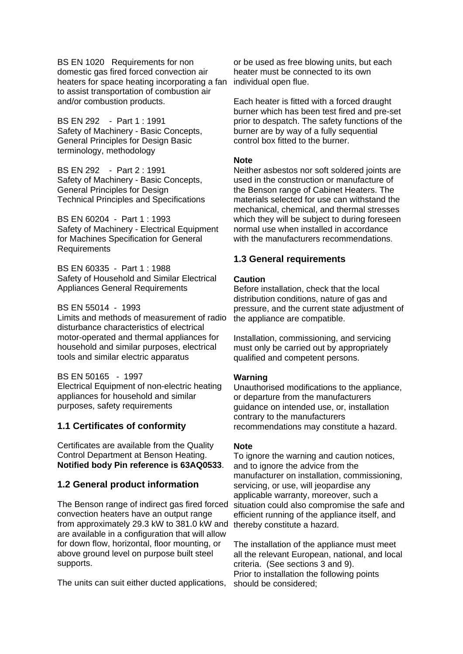BS EN 1020 Requirements for non domestic gas fired forced convection air heaters for space heating incorporating a fan to assist transportation of combustion air and/or combustion products.

BS EN 292 - Part 1 : 1991 Safety of Machinery - Basic Concepts, General Principles for Design Basic terminology, methodology

BS EN 292 - Part 2 : 1991 Safety of Machinery - Basic Concepts, General Principles for Design Technical Principles and Specifications

BS EN 60204 - Part 1 : 1993 Safety of Machinery - Electrical Equipment for Machines Specification for General **Requirements** 

BS EN 60335 - Part 1 : 1988 Safety of Household and Similar Electrical Appliances General Requirements

#### BS EN 55014 - 1993

Limits and methods of measurement of radio disturbance characteristics of electrical motor-operated and thermal appliances for household and similar purposes, electrical tools and similar electric apparatus

#### BS EN 50165 - 1997

Electrical Equipment of non-electric heating appliances for household and similar purposes, safety requirements

#### **1.1 Certificates of conformity**

Certificates are available from the Quality Control Department at Benson Heating. **Notified body Pin reference is 63AQ0533**.

#### **1.2 General product information**

The Benson range of indirect gas fired forced convection heaters have an output range from approximately 29.3 kW to 381.0 kW and are available in a configuration that will allow for down flow, horizontal, floor mounting, or above ground level on purpose built steel supports.

The units can suit either ducted applications,

or be used as free blowing units, but each heater must be connected to its own individual open flue.

Each heater is fitted with a forced draught burner which has been test fired and pre-set prior to despatch. The safety functions of the burner are by way of a fully sequential control box fitted to the burner.

#### **Note**

Neither asbestos nor soft soldered joints are used in the construction or manufacture of the Benson range of Cabinet Heaters. The materials selected for use can withstand the mechanical, chemical, and thermal stresses which they will be subject to during foreseen normal use when installed in accordance with the manufacturers recommendations.

#### **1.3 General requirements**

#### **Caution**

Before installation, check that the local distribution conditions, nature of gas and pressure, and the current state adjustment of the appliance are compatible.

Installation, commissioning, and servicing must only be carried out by appropriately qualified and competent persons.

#### **Warning**

Unauthorised modifications to the appliance, or departure from the manufacturers guidance on intended use, or, installation contrary to the manufacturers recommendations may constitute a hazard.

#### **Note**

To ignore the warning and caution notices, and to ignore the advice from the manufacturer on installation, commissioning, servicing, or use, will jeopardise any applicable warranty, moreover, such a situation could also compromise the safe and efficient running of the appliance itself, and thereby constitute a hazard.

The installation of the appliance must meet all the relevant European, national, and local criteria. (See sections 3 and 9). Prior to installation the following points should be considered;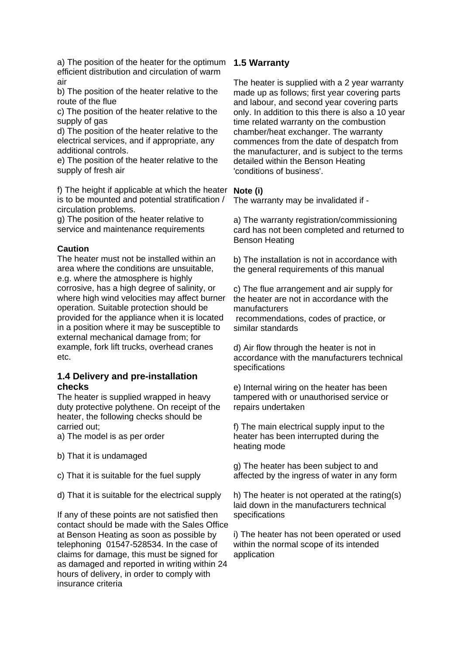a) The position of the heater for the optimum efficient distribution and circulation of warm air

b) The position of the heater relative to the route of the flue

c) The position of the heater relative to the supply of gas

d) The position of the heater relative to the electrical services, and if appropriate, any additional controls.

e) The position of the heater relative to the supply of fresh air

f) The height if applicable at which the heater is to be mounted and potential stratification / circulation problems.

g) The position of the heater relative to service and maintenance requirements

#### **Caution**

The heater must not be installed within an area where the conditions are unsuitable, e.g. where the atmosphere is highly corrosive, has a high degree of salinity, or where high wind velocities may affect burner operation. Suitable protection should be provided for the appliance when it is located in a position where it may be susceptible to external mechanical damage from; for example, fork lift trucks, overhead cranes etc.

#### **1.4 Delivery and pre-installation checks**

The heater is supplied wrapped in heavy duty protective polythene. On receipt of the heater, the following checks should be carried out;

a) The model is as per order

b) That it is undamaged

- c) That it is suitable for the fuel supply
- d) That it is suitable for the electrical supply

If any of these points are not satisfied then contact should be made with the Sales Office at Benson Heating as soon as possible by telephoning 01547-528534. In the case of claims for damage, this must be signed for as damaged and reported in writing within 24 hours of delivery, in order to comply with insurance criteria

#### **1.5 Warranty**

The heater is supplied with a 2 year warranty made up as follows; first year covering parts and labour, and second year covering parts only. In addition to this there is also a 10 year time related warranty on the combustion chamber/heat exchanger. The warranty commences from the date of despatch from the manufacturer, and is subject to the terms detailed within the Benson Heating 'conditions of business'.

#### **Note (i)**

The warranty may be invalidated if -

a) The warranty registration/commissioning card has not been completed and returned to Benson Heating

b) The installation is not in accordance with the general requirements of this manual

c) The flue arrangement and air supply for the heater are not in accordance with the manufacturers

 recommendations, codes of practice, or similar standards

d) Air flow through the heater is not in accordance with the manufacturers technical specifications

e) Internal wiring on the heater has been tampered with or unauthorised service or repairs undertaken

f) The main electrical supply input to the heater has been interrupted during the heating mode

g) The heater has been subject to and affected by the ingress of water in any form

h) The heater is not operated at the rating(s) laid down in the manufacturers technical specifications

i) The heater has not been operated or used within the normal scope of its intended application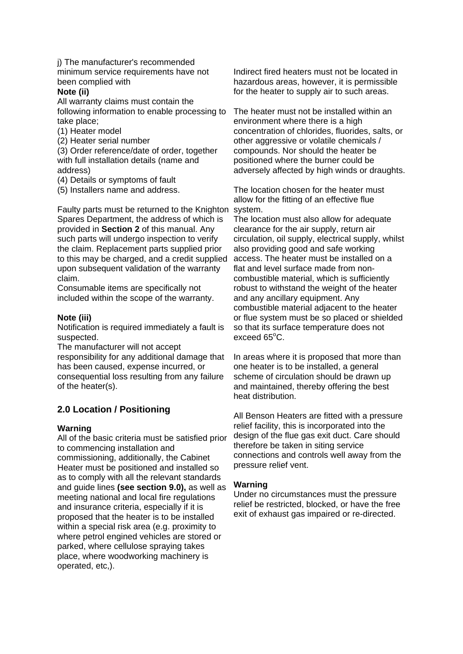j) The manufacturer's recommended minimum service requirements have not been complied with

#### **Note (ii)**

All warranty claims must contain the following information to enable processing to take place;

- (1) Heater model
- (2) Heater serial number

(3) Order reference/date of order, together with full installation details (name and address)

(4) Details or symptoms of fault

(5) Installers name and address.

Faulty parts must be returned to the Knighton Spares Department, the address of which is provided in **Section 2** of this manual. Any such parts will undergo inspection to verify the claim. Replacement parts supplied prior to this may be charged, and a credit supplied upon subsequent validation of the warranty claim.

Consumable items are specifically not included within the scope of the warranty.

#### **Note (iii)**

Notification is required immediately a fault is suspected.

The manufacturer will not accept responsibility for any additional damage that has been caused, expense incurred, or consequential loss resulting from any failure of the heater(s).

#### **2.0 Location / Positioning**

#### **Warning**

All of the basic criteria must be satisfied prior to commencing installation and commissioning, additionally, the Cabinet Heater must be positioned and installed so as to comply with all the relevant standards and guide lines **(see section 9.0),** as well as meeting national and local fire regulations and insurance criteria, especially if it is proposed that the heater is to be installed within a special risk area (e.g. proximity to where petrol engined vehicles are stored or parked, where cellulose spraying takes place, where woodworking machinery is operated, etc,).

Indirect fired heaters must not be located in hazardous areas, however, it is permissible for the heater to supply air to such areas.

The heater must not be installed within an environment where there is a high concentration of chlorides, fluorides, salts, or other aggressive or volatile chemicals / compounds. Nor should the heater be positioned where the burner could be adversely affected by high winds or draughts.

The location chosen for the heater must allow for the fitting of an effective flue system.

The location must also allow for adequate clearance for the air supply, return air circulation, oil supply, electrical supply, whilst also providing good and safe working access. The heater must be installed on a flat and level surface made from noncombustible material, which is sufficiently robust to withstand the weight of the heater and any ancillary equipment. Any combustible material adjacent to the heater or flue system must be so placed or shielded so that its surface temperature does not exceed 65°C.

In areas where it is proposed that more than one heater is to be installed, a general scheme of circulation should be drawn up and maintained, thereby offering the best heat distribution.

All Benson Heaters are fitted with a pressure relief facility, this is incorporated into the design of the flue gas exit duct. Care should therefore be taken in siting service connections and controls well away from the pressure relief vent.

#### **Warning**

Under no circumstances must the pressure relief be restricted, blocked, or have the free exit of exhaust gas impaired or re-directed.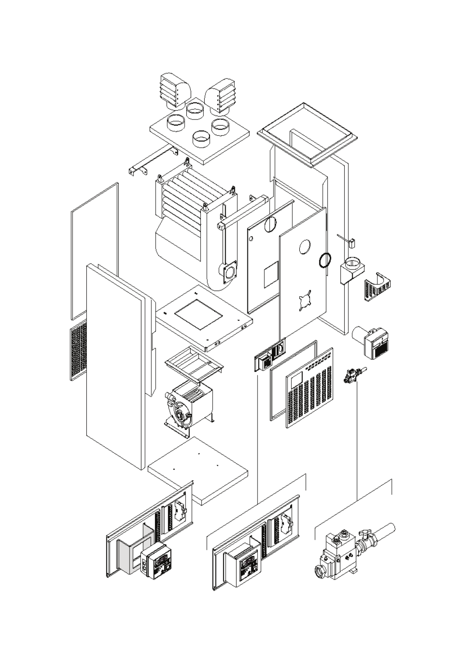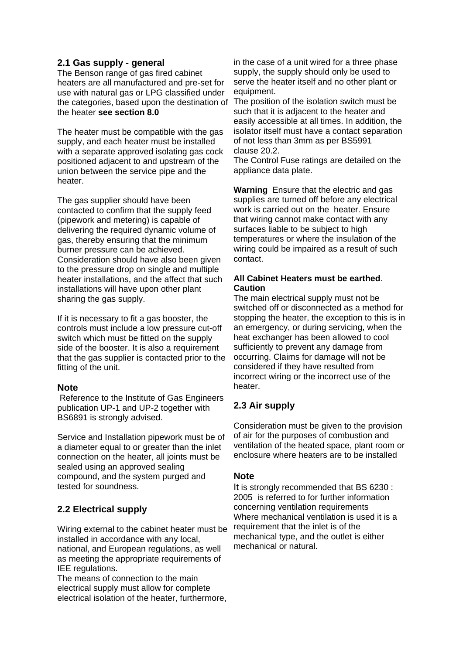#### **2.1 Gas supply - general**

The Benson range of gas fired cabinet heaters are all manufactured and pre-set for use with natural gas or LPG classified under the categories, based upon the destination of the heater **see section 8.0**

The heater must be compatible with the gas supply, and each heater must be installed with a separate approved isolating gas cock positioned adjacent to and upstream of the union between the service pipe and the heater.

The gas supplier should have been contacted to confirm that the supply feed (pipework and metering) is capable of delivering the required dynamic volume of gas, thereby ensuring that the minimum burner pressure can be achieved. Consideration should have also been given to the pressure drop on single and multiple heater installations, and the affect that such installations will have upon other plant sharing the gas supply.

If it is necessary to fit a gas booster, the controls must include a low pressure cut-off switch which must be fitted on the supply side of the booster. It is also a requirement that the gas supplier is contacted prior to the fitting of the unit.

#### **Note**

 Reference to the Institute of Gas Engineers publication UP-1 and UP-2 together with BS6891 is strongly advised.

Service and Installation pipework must be of a diameter equal to or greater than the inlet connection on the heater, all joints must be sealed using an approved sealing compound, and the system purged and tested for soundness.

#### **2.2 Electrical supply**

Wiring external to the cabinet heater must be installed in accordance with any local, national, and European regulations, as well as meeting the appropriate requirements of IEE regulations.

The means of connection to the main electrical supply must allow for complete electrical isolation of the heater, furthermore, in the case of a unit wired for a three phase supply, the supply should only be used to serve the heater itself and no other plant or equipment.

The position of the isolation switch must be such that it is adjacent to the heater and easily accessible at all times. In addition, the isolator itself must have a contact separation of not less than 3mm as per BS5991 clause 20.2.

The Control Fuse ratings are detailed on the appliance data plate.

**Warning** Ensure that the electric and gas supplies are turned off before any electrical work is carried out on the heater. Ensure that wiring cannot make contact with any surfaces liable to be subject to high temperatures or where the insulation of the wiring could be impaired as a result of such contact.

#### **All Cabinet Heaters must be earthed**. **Caution**

The main electrical supply must not be switched off or disconnected as a method for stopping the heater, the exception to this is in an emergency, or during servicing, when the heat exchanger has been allowed to cool sufficiently to prevent any damage from occurring. Claims for damage will not be considered if they have resulted from incorrect wiring or the incorrect use of the heater.

#### **2.3 Air supply**

Consideration must be given to the provision of air for the purposes of combustion and ventilation of the heated space, plant room or enclosure where heaters are to be installed

#### **Note**

It is strongly recommended that BS 6230 : 2005 is referred to for further information concerning ventilation requirements Where mechanical ventilation is used it is a requirement that the inlet is of the mechanical type, and the outlet is either mechanical or natural.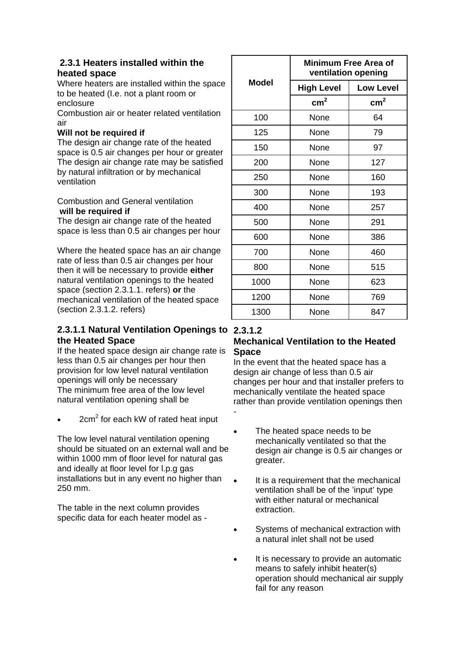#### **2.3.1 Heaters installed within the heated space**

Where heaters are installed within the space to be heated (I.e. not a plant room or enclosure

Combustion air or heater related ventilation air

#### **Will not be required if**

The design air change rate of the heated space is 0.5 air changes per hour or greater The design air change rate may be satisfied by natural infiltration or by mechanical ventilation

Combustion and General ventilation **will be required if**

The design air change rate of the heated space is less than 0.5 air changes per hour

Where the heated space has an air change rate of less than 0.5 air changes per hour then it will be necessary to provide **either** natural ventilation openings to the heated space (section 2.3.1.1. refers) **or** the mechanical ventilation of the heated space (section 2.3.1.2. refers)

#### **2.3.1.1 Natural Ventilation Openings to 2.3.1.2 the Heated Space**

If the heated space design air change rate is less than 0.5 air changes per hour then provision for low level natural ventilation openings will only be necessary The minimum free area of the low level natural ventilation opening shall be

 $\bullet$  2cm<sup>2</sup> for each kW of rated heat input

The low level natural ventilation opening should be situated on an external wall and be within 1000 mm of floor level for natural gas and ideally at floor level for l.p.g gas installations but in any event no higher than 250 mm.

The table in the next column provides specific data for each heater model as -

|       | <b>Minimum Free Area of</b><br>ventilation opening |                  |  |
|-------|----------------------------------------------------|------------------|--|
| Model | <b>High Level</b>                                  | <b>Low Level</b> |  |
|       | cm <sup>2</sup>                                    | cm <sup>2</sup>  |  |
| 100   | None                                               | 64               |  |
| 125   | None                                               | 79               |  |
| 150   | None                                               | 97               |  |
| 200   | None                                               | 127              |  |
| 250   | None                                               | 160              |  |
| 300   | None                                               | 193              |  |
| 400   | None                                               | 257              |  |
| 500   | None                                               | 291              |  |
| 600   | None                                               | 386              |  |
| 700   | None                                               | 460              |  |
| 800   | None                                               | 515              |  |
| 1000  | None                                               | 623              |  |
| 1200  | None                                               | 769              |  |
| 1300  | None                                               | 847              |  |

-

#### **Mechanical Ventilation to the Heated Space**

In the event that the heated space has a design air change of less than 0.5 air changes per hour and that installer prefers to mechanically ventilate the heated space rather than provide ventilation openings then

- The heated space needs to be mechanically ventilated so that the design air change is 0.5 air changes or greater.
- It is a requirement that the mechanical ventilation shall be of the 'input' type with either natural or mechanical extraction.
- Systems of mechanical extraction with a natural inlet shall not be used
- It is necessary to provide an automatic means to safely inhibit heater(s) operation should mechanical air supply fail for any reason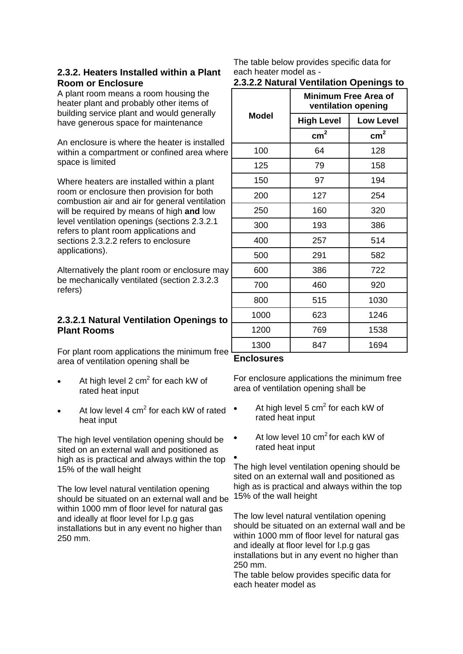#### **2.3.2. Heaters Installed within a Plant Room or Enclosure**

A plant room means a room housing the heater plant and probably other items of building service plant and would generally have generous space for maintenance

An enclosure is where the heater is installed within a compartment or confined area where space is limited

Where heaters are installed within a plant room or enclosure then provision for both combustion air and air for general ventilation will be required by means of high **and** low level ventilation openings (sections 2.3.2.1 refers to plant room applications and sections 2.3.2.2 refers to enclosure applications).

Alternatively the plant room or enclosure may be mechanically ventilated (section 2.3.2.3 refers)

#### **2.3.2.1 Natural Ventilation Openings to Plant Rooms**

For plant room applications the minimum free area of ventilation opening shall be

- At high level 2  $\text{cm}^2$  for each kW of rated heat input
- $\bullet$  At low level 4 cm<sup>2</sup> for each kW of rated heat input

The high level ventilation opening should be sited on an external wall and positioned as high as is practical and always within the top 15% of the wall height

The low level natural ventilation opening should be situated on an external wall and be within 1000 mm of floor level for natural gas and ideally at floor level for l.p.g gas installations but in any event no higher than 250 mm.

The table below provides specific data for each heater model as -

|  |  |  |  |  | 2.3.2.2 Natural Ventilation Openings to |
|--|--|--|--|--|-----------------------------------------|
|--|--|--|--|--|-----------------------------------------|

|   |              | <b>Minimum Free Area of</b><br>ventilation opening |                  |  |
|---|--------------|----------------------------------------------------|------------------|--|
|   | <b>Model</b> | <b>High Level</b>                                  | <b>Low Level</b> |  |
|   |              | cm <sup>2</sup>                                    | $\textsf{cm}^2$  |  |
|   | 100          | 64                                                 | 128              |  |
|   | 125          | 79                                                 | 158              |  |
|   | 150          | 97                                                 | 194              |  |
|   | 200          | 127                                                | 254              |  |
|   | 250          | 160                                                | 320              |  |
|   | 300          | 193                                                | 386              |  |
|   | 400          | 257                                                | 514              |  |
|   | 500          | 291                                                | 582              |  |
| ı | 600          | 386                                                | 722              |  |
|   | 700          | 460                                                | 920              |  |
|   | 800          | 515                                                | 1030             |  |
|   | 1000         | 623                                                | 1246             |  |
|   | 1200         | 769                                                | 1538             |  |
|   | 1300         | 847                                                | 1694             |  |

#### **Enclosures**

For enclosure applications the minimum free area of ventilation opening shall be

 $\bullet$  At high level 5 cm<sup>2</sup> for each kW of rated heat input

At low level 10  $\text{cm}^2$  for each kW of rated heat input

 $\bullet$ The high level ventilation opening should be sited on an external wall and positioned as high as is practical and always within the top 15% of the wall height

The low level natural ventilation opening should be situated on an external wall and be within 1000 mm of floor level for natural gas and ideally at floor level for l.p.g gas installations but in any event no higher than 250 mm.

The table below provides specific data for each heater model as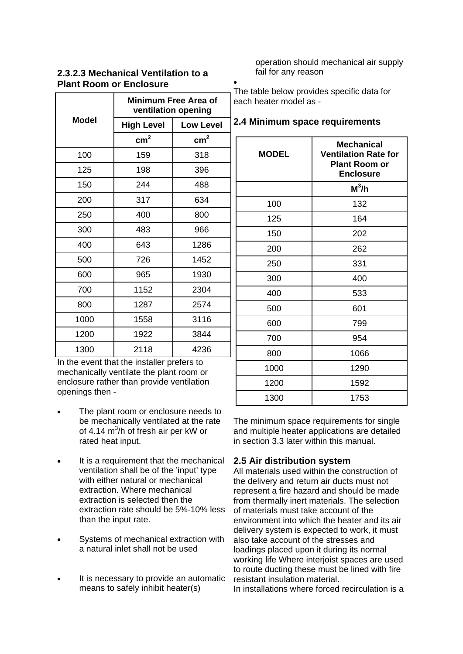**2.3.2.3 Mechanical Ventilation to a Plant Room or Enclosure** 

|       | Minimum Free Area of<br>ventilation opening |                  |  |
|-------|---------------------------------------------|------------------|--|
| Model | <b>High Level</b>                           | <b>Low Level</b> |  |
|       | $\textsf{cm}^2$                             | $\text{cm}^2$    |  |
| 100   | 159                                         | 318              |  |
| 125   | 198                                         | 396              |  |
| 150   | 244                                         | 488              |  |
| 200   | 317                                         | 634              |  |
| 250   | 400                                         | 800              |  |
| 300   | 483                                         | 966              |  |
| 400   | 643                                         | 1286             |  |
| 500   | 726                                         | 1452             |  |
| 600   | 965                                         | 1930             |  |
| 700   | 1152                                        | 2304             |  |
| 800   | 1287                                        | 2574             |  |
| 1000  | 1558                                        | 3116             |  |
| 1200  | 1922                                        | 3844             |  |
| 1300  | 2118                                        | 4236             |  |

operation should mechanical air supply fail for any reason

The table below provides specific data for each heater model as -

#### **2.4 Minimum space requirements**

 $\bullet$ 

| <b>MODEL</b> | <b>Mechanical</b><br><b>Ventilation Rate for</b><br><b>Plant Room or</b><br><b>Enclosure</b> |
|--------------|----------------------------------------------------------------------------------------------|
|              | $M^3/h$                                                                                      |
| 100          | 132                                                                                          |
| 125          | 164                                                                                          |
| 150          | 202                                                                                          |
| 200          | 262                                                                                          |
| 250          | 331                                                                                          |
| 300          | 400                                                                                          |
| 400          | 533                                                                                          |
| 500          | 601                                                                                          |
| 600          | 799                                                                                          |
| 700          | 954                                                                                          |
| 800          | 1066                                                                                         |
| 1000         | 1290                                                                                         |
| 1200         | 1592                                                                                         |
| 1300         | 1753                                                                                         |

In the event that the installer prefers to mechanically ventilate the plant room or enclosure rather than provide ventilation openings then -

- The plant room or enclosure needs to be mechanically ventilated at the rate of 4.14 m<sup>3</sup>/h of fresh air per kW or rated heat input.
- It is a requirement that the mechanical ventilation shall be of the 'input' type with either natural or mechanical extraction. Where mechanical extraction is selected then the extraction rate should be 5%-10% less than the input rate.
- Systems of mechanical extraction with a natural inlet shall not be used
- It is necessary to provide an automatic means to safely inhibit heater(s)

The minimum space requirements for single and multiple heater applications are detailed in section 3.3 later within this manual.

#### **2.5 Air distribution system**

All materials used within the construction of the delivery and return air ducts must not represent a fire hazard and should be made from thermally inert materials. The selection of materials must take account of the environment into which the heater and its air delivery system is expected to work, it must also take account of the stresses and loadings placed upon it during its normal working life Where interjoist spaces are used to route ducting these must be lined with fire resistant insulation material.

In installations where forced recirculation is a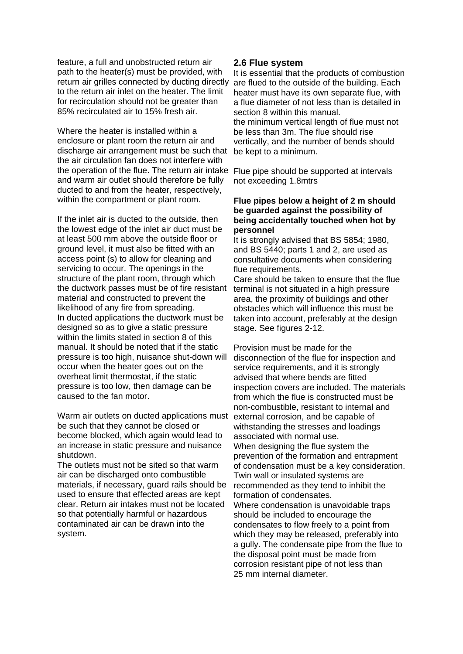feature, a full and unobstructed return air path to the heater(s) must be provided, with return air grilles connected by ducting directly are flued to the outside of the building. Each to the return air inlet on the heater. The limit for recirculation should not be greater than 85% recirculated air to 15% fresh air.

Where the heater is installed within a enclosure or plant room the return air and discharge air arrangement must be such that be kept to a minimum. the air circulation fan does not interfere with the operation of the flue. The return air intake Flue pipe should be supported at intervals and warm air outlet should therefore be fully ducted to and from the heater, respectively, within the compartment or plant room.

If the inlet air is ducted to the outside, then the lowest edge of the inlet air duct must be at least 500 mm above the outside floor or ground level, it must also be fitted with an access point (s) to allow for cleaning and servicing to occur. The openings in the structure of the plant room, through which the ductwork passes must be of fire resistant material and constructed to prevent the likelihood of any fire from spreading. In ducted applications the ductwork must be designed so as to give a static pressure within the limits stated in section 8 of this manual. It should be noted that if the static pressure is too high, nuisance shut-down will occur when the heater goes out on the overheat limit thermostat, if the static pressure is too low, then damage can be caused to the fan motor.

Warm air outlets on ducted applications must be such that they cannot be closed or become blocked, which again would lead to an increase in static pressure and nuisance shutdown.

The outlets must not be sited so that warm air can be discharged onto combustible materials, if necessary, guard rails should be used to ensure that effected areas are kept clear. Return air intakes must not be located so that potentially harmful or hazardous contaminated air can be drawn into the system.

#### **2.6 Flue system**

It is essential that the products of combustion heater must have its own separate flue, with a flue diameter of not less than is detailed in section 8 within this manual.

the minimum vertical length of flue must not be less than 3m. The flue should rise vertically, and the number of bends should

not exceeding 1.8mtrs

#### **Flue pipes below a height of 2 m should be guarded against the possibility of being accidentally touched when hot by personnel**

It is strongly advised that BS 5854; 1980, and BS 5440; parts 1 and 2, are used as consultative documents when considering flue requirements.

Care should be taken to ensure that the flue terminal is not situated in a high pressure area, the proximity of buildings and other obstacles which will influence this must be taken into account, preferably at the design stage. See figures 2-12.

Provision must be made for the disconnection of the flue for inspection and service requirements, and it is strongly advised that where bends are fitted inspection covers are included. The materials from which the flue is constructed must be non-combustible, resistant to internal and external corrosion, and be capable of withstanding the stresses and loadings associated with normal use. When designing the flue system the prevention of the formation and entrapment of condensation must be a key consideration. Twin wall or insulated systems are recommended as they tend to inhibit the formation of condensates. Where condensation is unavoidable traps should be included to encourage the condensates to flow freely to a point from which they may be released, preferably into a gully. The condensate pipe from the flue to the disposal point must be made from corrosion resistant pipe of not less than 25 mm internal diameter.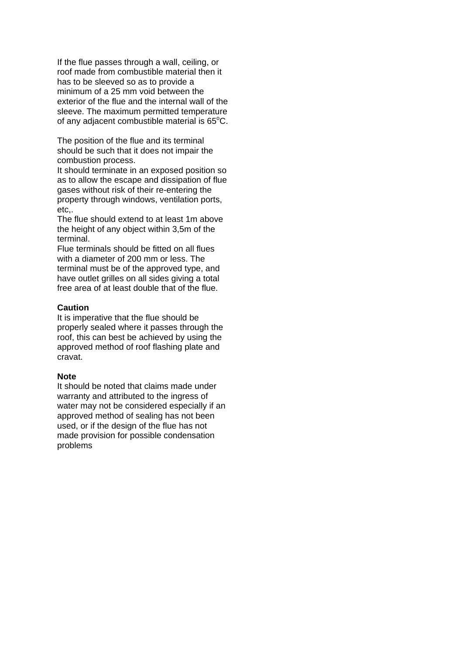If the flue passes through a wall, ceiling, or roof made from combustible material then it has to be sleeved so as to provide a minimum of a 25 mm void between the exterior of the flue and the internal wall of the sleeve. The maximum permitted temperature of any adjacent combustible material is  $65^{\circ}$ C.

The position of the flue and its terminal should be such that it does not impair the combustion process.

It should terminate in an exposed position so as to allow the escape and dissipation of flue gases without risk of their re-entering the property through windows, ventilation ports, etc,.

The flue should extend to at least 1m above the height of any object within 3,5m of the terminal.

Flue terminals should be fitted on all flues with a diameter of 200 mm or less. The terminal must be of the approved type, and have outlet grilles on all sides giving a total free area of at least double that of the flue.

#### **Caution**

It is imperative that the flue should be properly sealed where it passes through the roof, this can best be achieved by using the approved method of roof flashing plate and cravat.

#### **Note**

It should be noted that claims made under warranty and attributed to the ingress of water may not be considered especially if an approved method of sealing has not been used, or if the design of the flue has not made provision for possible condensation problems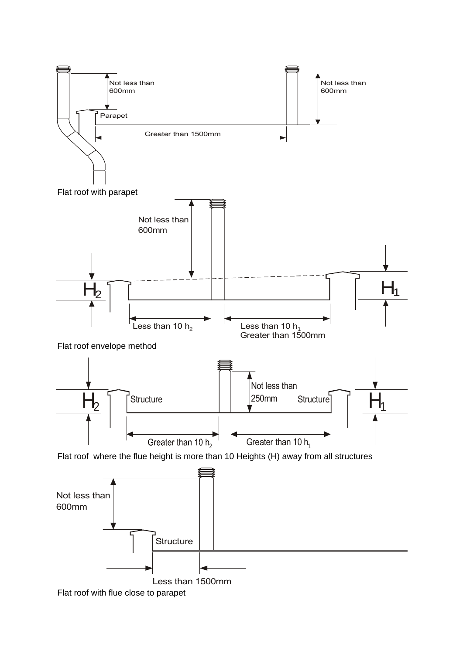

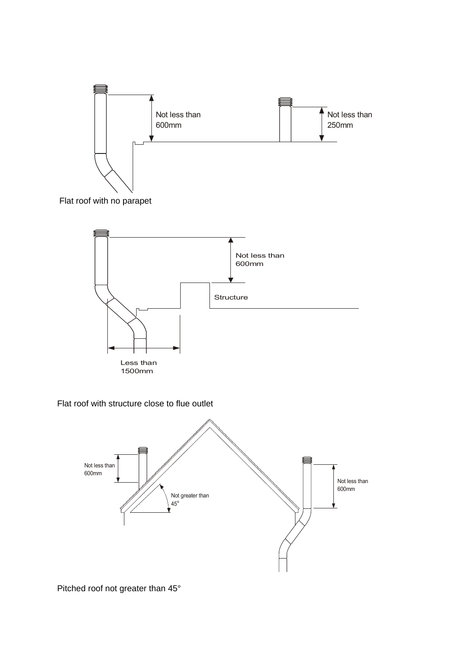



Flat roof with structure close to flue outlet



Pitched roof not greater than 45°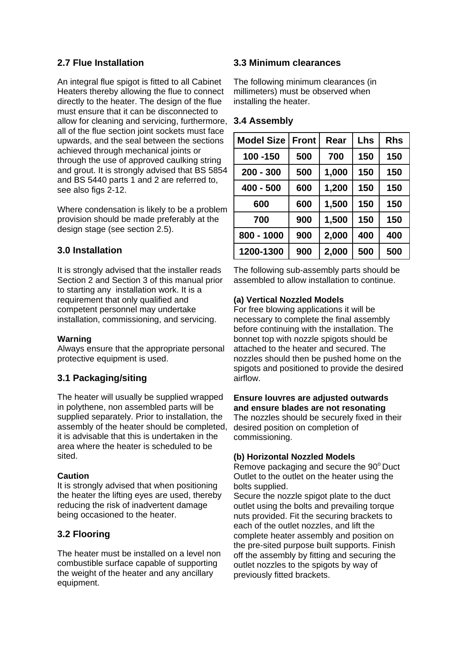#### **2.7 Flue Installation**

An integral flue spigot is fitted to all Cabinet Heaters thereby allowing the flue to connect directly to the heater. The design of the flue must ensure that it can be disconnected to allow for cleaning and servicing, furthermore, all of the flue section joint sockets must face upwards, and the seal between the sections achieved through mechanical joints or through the use of approved caulking string and grout. It is strongly advised that BS 5854 and BS 5440 parts 1 and 2 are referred to, see also figs 2-12.

Where condensation is likely to be a problem provision should be made preferably at the design stage (see section 2.5).

#### **3.0 Installation**

It is strongly advised that the installer reads Section 2 and Section 3 of this manual prior to starting any installation work. It is a requirement that only qualified and competent personnel may undertake installation, commissioning, and servicing.

#### **Warning**

Always ensure that the appropriate personal protective equipment is used.

#### **3.1 Packaging/siting**

The heater will usually be supplied wrapped in polythene, non assembled parts will be supplied separately. Prior to installation, the assembly of the heater should be completed, it is advisable that this is undertaken in the area where the heater is scheduled to be sited.

#### **Caution**

It is strongly advised that when positioning the heater the lifting eyes are used, thereby reducing the risk of inadvertent damage being occasioned to the heater.

#### **3.2 Flooring**

The heater must be installed on a level non combustible surface capable of supporting the weight of the heater and any ancillary equipment.

#### **3.3 Minimum clearances**

The following minimum clearances (in millimeters) must be observed when installing the heater.

#### **3.4 Assembly**

| <b>Model Size</b> | <b>Front</b> | Rear  | Lhs | <b>Rhs</b> |
|-------------------|--------------|-------|-----|------------|
| 100 - 150         | 500          | 700   | 150 | 150        |
| $200 - 300$       | 500          | 1,000 | 150 | 150        |
| $400 - 500$       | 600          | 1,200 | 150 | 150        |
| 600               | 600          | 1,500 | 150 | 150        |
| 700               | 900          | 1,500 | 150 | 150        |
| 800 - 1000        | 900          | 2,000 | 400 | 400        |
| 1200-1300         | 900          | 2,000 | 500 | 500        |

The following sub-assembly parts should be assembled to allow installation to continue.

#### **(a) Vertical Nozzled Models**

For free blowing applications it will be necessary to complete the final assembly before continuing with the installation. The bonnet top with nozzle spigots should be attached to the heater and secured. The nozzles should then be pushed home on the spigots and positioned to provide the desired airflow.

#### **Ensure louvres are adjusted outwards and ensure blades are not resonating**

The nozzles should be securely fixed in their desired position on completion of commissioning.

#### **(b) Horizontal Nozzled Models**

Remove packaging and secure the 90° Duct Outlet to the outlet on the heater using the bolts supplied.

Secure the nozzle spigot plate to the duct outlet using the bolts and prevailing torque nuts provided. Fit the securing brackets to each of the outlet nozzles, and lift the complete heater assembly and position on the pre-sited purpose built supports. Finish off the assembly by fitting and securing the outlet nozzles to the spigots by way of previously fitted brackets.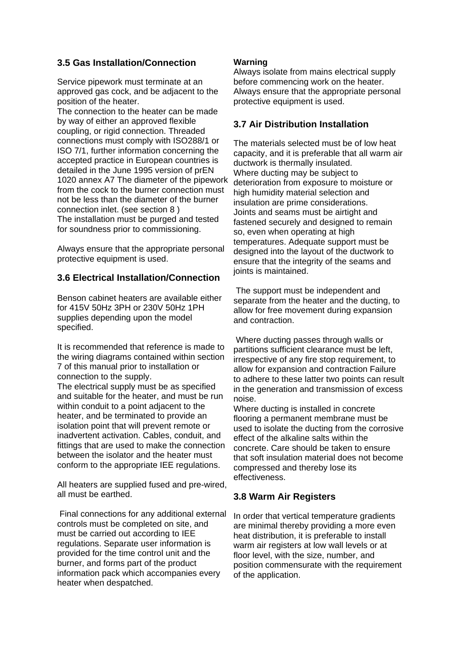#### **3.5 Gas Installation/Connection**

Service pipework must terminate at an approved gas cock, and be adjacent to the position of the heater.

The connection to the heater can be made by way of either an approved flexible coupling, or rigid connection. Threaded connections must comply with ISO288/1 or ISO 7/1, further information concerning the accepted practice in European countries is detailed in the June 1995 version of prEN 1020 annex A7 The diameter of the pipework from the cock to the burner connection must not be less than the diameter of the burner connection inlet. (see section 8 ) The installation must be purged and tested for soundness prior to commissioning.

Always ensure that the appropriate personal protective equipment is used.

#### **3.6 Electrical Installation/Connection**

Benson cabinet heaters are available either for 415V 50Hz 3PH or 230V 50Hz 1PH supplies depending upon the model specified.

It is recommended that reference is made to the wiring diagrams contained within section 7 of this manual prior to installation or connection to the supply.

The electrical supply must be as specified and suitable for the heater, and must be run within conduit to a point adjacent to the heater, and be terminated to provide an isolation point that will prevent remote or inadvertent activation. Cables, conduit, and fittings that are used to make the connection between the isolator and the heater must conform to the appropriate IEE regulations.

All heaters are supplied fused and pre-wired, all must be earthed.

 Final connections for any additional external controls must be completed on site, and must be carried out according to IEE regulations. Separate user information is provided for the time control unit and the burner, and forms part of the product information pack which accompanies every heater when despatched.

#### **Warning**

Always isolate from mains electrical supply before commencing work on the heater. Always ensure that the appropriate personal protective equipment is used.

#### **3.7 Air Distribution Installation**

The materials selected must be of low heat capacity, and it is preferable that all warm air ductwork is thermally insulated. Where ducting may be subject to deterioration from exposure to moisture or high humidity material selection and insulation are prime considerations. Joints and seams must be airtight and fastened securely and designed to remain so, even when operating at high temperatures. Adequate support must be designed into the layout of the ductwork to ensure that the integrity of the seams and joints is maintained.

 The support must be independent and separate from the heater and the ducting, to allow for free movement during expansion and contraction.

 Where ducting passes through walls or partitions sufficient clearance must be left, irrespective of any fire stop requirement, to allow for expansion and contraction Failure to adhere to these latter two points can result in the generation and transmission of excess noise.

Where ducting is installed in concrete flooring a permanent membrane must be used to isolate the ducting from the corrosive effect of the alkaline salts within the concrete. Care should be taken to ensure that soft insulation material does not become compressed and thereby lose its effectiveness.

#### **3.8 Warm Air Registers**

In order that vertical temperature gradients are minimal thereby providing a more even heat distribution, it is preferable to install warm air registers at low wall levels or at floor level, with the size, number, and position commensurate with the requirement of the application.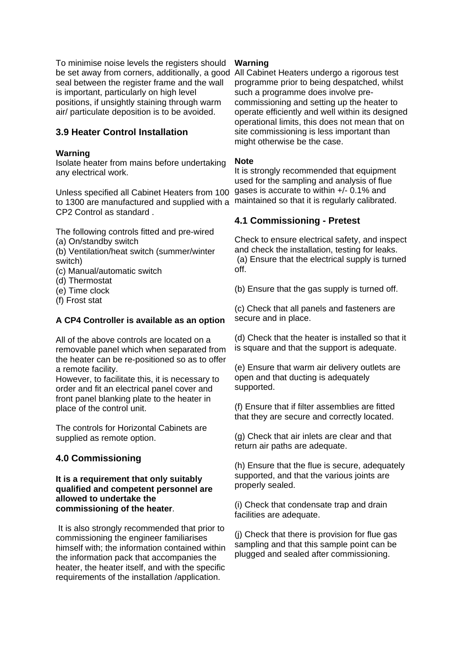To minimise noise levels the registers should be set away from corners, additionally, a good All Cabinet Heaters undergo a rigorous test seal between the register frame and the wall is important, particularly on high level positions, if unsightly staining through warm air/ particulate deposition is to be avoided.

#### **3.9 Heater Control Installation**

#### **Warning**

Isolate heater from mains before undertaking any electrical work.

Unless specified all Cabinet Heaters from 100 gases is accurate to within +/- 0.1% and to 1300 are manufactured and supplied with a maintained so that it is regularly calibrated. CP2 Control as standard .

The following controls fitted and pre-wired (a) On/standby switch

(b) Ventilation/heat switch (summer/winter switch)

- (c) Manual/automatic switch
- (d) Thermostat
- (e) Time clock
- (f) Frost stat

#### **A CP4 Controller is available as an option**

All of the above controls are located on a removable panel which when separated from the heater can be re-positioned so as to offer a remote facility.

However, to facilitate this, it is necessary to order and fit an electrical panel cover and front panel blanking plate to the heater in place of the control unit.

The controls for Horizontal Cabinets are supplied as remote option.

#### **4.0 Commissioning**

**It is a requirement that only suitably qualified and competent personnel are allowed to undertake the commissioning of the heater**.

 It is also strongly recommended that prior to commissioning the engineer familiarises himself with; the information contained within the information pack that accompanies the heater, the heater itself, and with the specific requirements of the installation /application.

#### **Warning**

programme prior to being despatched, whilst such a programme does involve precommissioning and setting up the heater to operate efficiently and well within its designed operational limits, this does not mean that on site commissioning is less important than might otherwise be the case.

#### **Note**

It is strongly recommended that equipment used for the sampling and analysis of flue

#### **4.1 Commissioning - Pretest**

Check to ensure electrical safety, and inspect and check the installation, testing for leaks. (a) Ensure that the electrical supply is turned off.

(b) Ensure that the gas supply is turned off.

(c) Check that all panels and fasteners are secure and in place.

(d) Check that the heater is installed so that it is square and that the support is adequate.

(e) Ensure that warm air delivery outlets are open and that ducting is adequately supported.

(f) Ensure that if filter assemblies are fitted that they are secure and correctly located.

(g) Check that air inlets are clear and that return air paths are adequate.

(h) Ensure that the flue is secure, adequately supported, and that the various joints are properly sealed.

(i) Check that condensate trap and drain facilities are adequate.

(j) Check that there is provision for flue gas sampling and that this sample point can be plugged and sealed after commissioning.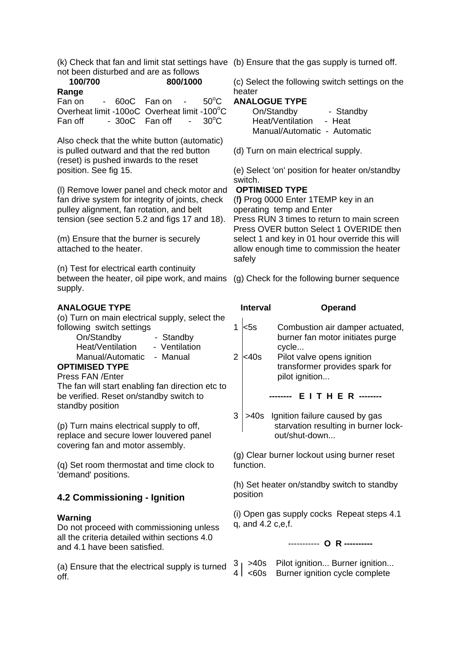(k) Check that fan and limit stat settings have (b) Ensure that the gas supply is turned off. not been disturbed and are as follows

| 100/700 |  |                                             | 800/1000 |                |
|---------|--|---------------------------------------------|----------|----------------|
| Range   |  |                                             |          |                |
|         |  | Fan on - 60oC Fan on -                      |          | $50^{\circ}$ C |
|         |  | Overheat limit -100oC Overheat limit -100°C |          |                |
| Fan off |  | $-30$ oC Fan off $-30^{\circ}$ C            |          |                |

Also check that the white button (automatic) is pulled outward and that the red button (reset) is pushed inwards to the reset position. See fig 15.

(l) Remove lower panel and check motor and fan drive system for integrity of joints, check pulley alignment, fan rotation, and belt tension (see section 5.2 and figs 17 and 18).

(m) Ensure that the burner is securely attached to the heater.

(n) Test for electrical earth continuity between the heater, oil pipe work, and mains (g) Check for the following burner sequence supply.

#### **ANALOGUE TYPE**

(o) Turn on main electrical supply, select the following switch settings

| On/Standby       | - Standby     |
|------------------|---------------|
| Heat/Ventilation | - Ventilation |
| Manual/Automatic | - Manual      |

#### **OPTIMISED TYPE**

Press FAN /Enter

The fan will start enabling fan direction etc to be verified. Reset on/standby switch to standby position

(p) Turn mains electrical supply to off, replace and secure lower louvered panel covering fan and motor assembly.

(q) Set room thermostat and time clock to 'demand' positions.

#### **4.2 Commissioning - Ignition**

#### **Warning**

Do not proceed with commissioning unless all the criteria detailed within sections 4.0 and 4.1 have been satisfied.

(a) Ensure that the electrical supply is turned off.

(c) Select the following switch settings on the heater

#### **ANALOGUE TYPE**

| On/Standby                   | - Standby |
|------------------------------|-----------|
| Heat/Ventilation             | - Heat    |
| Manual/Automatic - Automatic |           |

(d) Turn on main electrical supply.

(e) Select 'on' position for heater on/standby switch.

#### **OPTIMISED TYPE**

(f**)** Prog 0000 Enter 1TEMP key in an operating temp and Enter Press RUN 3 times to return to main screen Press OVER button Select 1 OVERIDE then select 1 and key in 01 hour override this will allow enough time to commission the heater safely

|                                                          | <b>Interval</b> | Operand                                                                                                                                                                                                            |  |
|----------------------------------------------------------|-----------------|--------------------------------------------------------------------------------------------------------------------------------------------------------------------------------------------------------------------|--|
|                                                          |                 | 1<br><5s Combustion air damper a<br>burner fan motor initiates<br>cycle<br>2<br><40s Pilot valve opens ignition<br>transformer provides spa<br>Combustion air damper actuated,<br>burner fan motor initiates purge |  |
|                                                          |                 | transformer provides spark for<br>pilot ignition                                                                                                                                                                   |  |
|                                                          |                 | E I T H E R ----                                                                                                                                                                                                   |  |
|                                                          |                 | 3 >40s Ignition failure caused by gas<br>starvation resulting in burner lock-<br>out/shut-down                                                                                                                     |  |
| (g) Clear burner lockout using burner reset<br>function. |                 |                                                                                                                                                                                                                    |  |

(h) Set heater on/standby switch to standby position

(i) Open gas supply cocks Repeat steps 4.1 q, and 4.2 c,e,f.

#### ----------- **O R ----------**

 $3<sub>1</sub> > 40s$  Pilot ignition... Burner ignition... 4 <60s Burner ignition cycle complete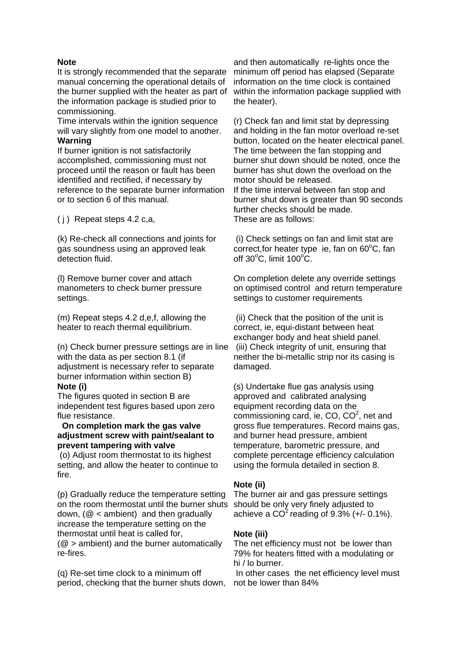#### **Note**

It is strongly recommended that the separate manual concerning the operational details of the burner supplied with the heater as part of the information package is studied prior to commissioning.

Time intervals within the ignition sequence will vary slightly from one model to another. **Warning**

If burner ignition is not satisfactorily accomplished, commissioning must not proceed until the reason or fault has been identified and rectified, if necessary by reference to the separate burner information or to section 6 of this manual.

 $(i)$  Repeat steps 4.2 c, a,

(k) Re-check all connections and joints for gas soundness using an approved leak detection fluid.

(l) Remove burner cover and attach manometers to check burner pressure settings.

(m) Repeat steps 4.2 d,e,f, allowing the heater to reach thermal equilibrium.

(n) Check burner pressure settings are in line with the data as per section 8.1 (if adjustment is necessary refer to separate burner information within section B) **Note (i)** 

The figures quoted in section B are independent test figures based upon zero flue resistance.

 **On completion mark the gas valve adjustment screw with paint/sealant to prevent tampering with valve**

 (o) Adjust room thermostat to its highest setting, and allow the heater to continue to fire.

(p) Gradually reduce the temperature setting on the room thermostat until the burner shuts down, (@ < ambient) and then gradually increase the temperature setting on the thermostat until heat is called for, ( $@>$  ambient) and the burner automatically re-fires.

(q) Re-set time clock to a minimum off period, checking that the burner shuts down,

and then automatically re-lights once the minimum off period has elapsed (Separate information on the time clock is contained within the information package supplied with the heater).

(r) Check fan and limit stat by depressing and holding in the fan motor overload re-set button, located on the heater electrical panel. The time between the fan stopping and burner shut down should be noted, once the burner has shut down the overload on the motor should be released. If the time interval between fan stop and

burner shut down is greater than 90 seconds further checks should be made. These are as follows:

 (i) Check settings on fan and limit stat are correct, for heater type ie, fan on 60°C, fan off  $30^{\circ}$ C, limit  $100^{\circ}$ C.

On completion delete any override settings on optimised control and return temperature settings to customer requirements

 (ii) Check that the position of the unit is correct, ie, equi-distant between heat exchanger body and heat shield panel. (iii) Check integrity of unit, ensuring that neither the bi-metallic strip nor its casing is damaged.

(s) Undertake flue gas analysis using approved and calibrated analysing equipment recording data on the commissioning card, ie,  $CO$ ,  $CO<sup>2</sup>$ , net and gross flue temperatures. Record mains gas, and burner head pressure, ambient temperature, barometric pressure, and complete percentage efficiency calculation using the formula detailed in section 8.

#### **Note (ii)**

The burner air and gas pressure settings should be only very finely adjusted to achieve a  $CO^2$  reading of 9.3% (+/- 0.1%).

#### **Note (iii)**

The net efficiency must not be lower than 79% for heaters fitted with a modulating or hi / lo burner.

 In other cases the net efficiency level must not be lower than 84%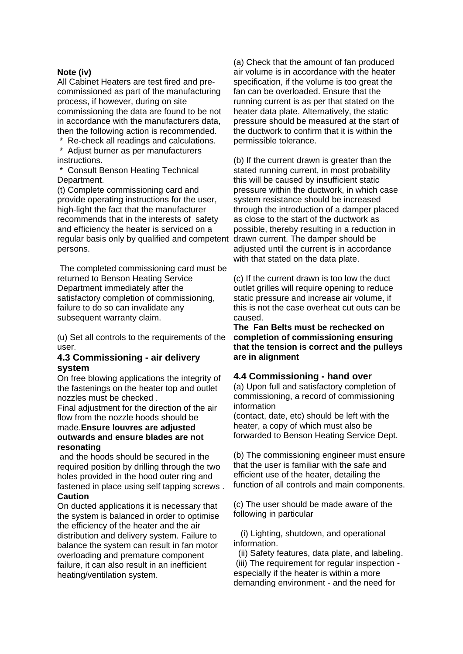#### **Note (iv)**

All Cabinet Heaters are test fired and precommissioned as part of the manufacturing process, if however, during on site commissioning the data are found to be not in accordance with the manufacturers data, then the following action is recommended.

 \* Re-check all readings and calculations. \* Adjust burner as per manufacturers instructions.

 \* Consult Benson Heating Technical Department.

(t) Complete commissioning card and provide operating instructions for the user, high-light the fact that the manufacturer recommends that in the interests of safety and efficiency the heater is serviced on a regular basis only by qualified and competent drawn current. The damper should be persons.

 The completed commissioning card must be returned to Benson Heating Service Department immediately after the satisfactory completion of commissioning, failure to do so can invalidate any subsequent warranty claim.

(u) Set all controls to the requirements of the user.

#### **4.3 Commissioning - air delivery system**

On free blowing applications the integrity of the fastenings on the heater top and outlet nozzles must be checked .

Final adjustment for the direction of the air flow from the nozzle hoods should be made.**Ensure louvres are adjusted** 

#### **outwards and ensure blades are not resonating**

 and the hoods should be secured in the required position by drilling through the two holes provided in the hood outer ring and fastened in place using self tapping screws .

#### **Caution**

On ducted applications it is necessary that the system is balanced in order to optimise the efficiency of the heater and the air distribution and delivery system. Failure to balance the system can result in fan motor overloading and premature component failure, it can also result in an inefficient heating/ventilation system.

(a) Check that the amount of fan produced air volume is in accordance with the heater specification, if the volume is too great the fan can be overloaded. Ensure that the running current is as per that stated on the heater data plate. Alternatively, the static pressure should be measured at the start of the ductwork to confirm that it is within the permissible tolerance.

(b) If the current drawn is greater than the stated running current, in most probability this will be caused by insufficient static pressure within the ductwork, in which case system resistance should be increased through the introduction of a damper placed as close to the start of the ductwork as possible, thereby resulting in a reduction in adjusted until the current is in accordance with that stated on the data plate.

(c) If the current drawn is too low the duct outlet grilles will require opening to reduce static pressure and increase air volume, if this is not the case overheat cut outs can be caused.

**The Fan Belts must be rechecked on completion of commissioning ensuring that the tension is correct and the pulleys are in alignment** 

#### **4.4 Commissioning - hand over**

(a) Upon full and satisfactory completion of commissioning, a record of commissioning information

(contact, date, etc) should be left with the heater, a copy of which must also be forwarded to Benson Heating Service Dept.

(b) The commissioning engineer must ensure that the user is familiar with the safe and efficient use of the heater, detailing the function of all controls and main components.

(c) The user should be made aware of the following in particular

 (i) Lighting, shutdown, and operational information.

 (ii) Safety features, data plate, and labeling. (iii) The requirement for regular inspection -

especially if the heater is within a more demanding environment - and the need for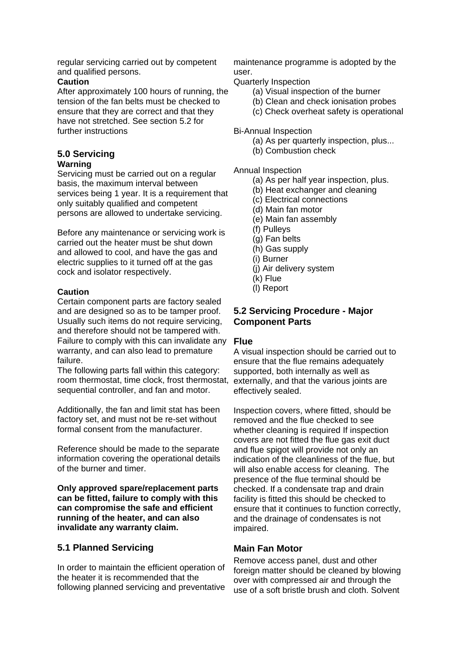regular servicing carried out by competent and qualified persons.

#### **Caution**

After approximately 100 hours of running, the tension of the fan belts must be checked to ensure that they are correct and that they have not stretched. See section 5.2 for further instructions

# **5.0 Servicing**

**Warning**

Servicing must be carried out on a regular basis, the maximum interval between services being 1 year. It is a requirement that only suitably qualified and competent persons are allowed to undertake servicing.

Before any maintenance or servicing work is carried out the heater must be shut down and allowed to cool, and have the gas and electric supplies to it turned off at the gas cock and isolator respectively.

#### **Caution**

Certain component parts are factory sealed and are designed so as to be tamper proof. Usually such items do not require servicing, and therefore should not be tampered with. Failure to comply with this can invalidate any warranty, and can also lead to premature failure.

The following parts fall within this category: room thermostat, time clock, frost thermostat, sequential controller, and fan and motor.

Additionally, the fan and limit stat has been factory set, and must not be re-set without formal consent from the manufacturer.

Reference should be made to the separate information covering the operational details of the burner and timer.

**Only approved spare/replacement parts can be fitted, failure to comply with this can compromise the safe and efficient running of the heater, and can also invalidate any warranty claim.** 

#### **5.1 Planned Servicing**

In order to maintain the efficient operation of the heater it is recommended that the following planned servicing and preventative maintenance programme is adopted by the user.

Quarterly Inspection

- (a) Visual inspection of the burner
- (b) Clean and check ionisation probes
- (c) Check overheat safety is operational

Bi-Annual Inspection

- (a) As per quarterly inspection, plus...
- (b) Combustion check

#### Annual Inspection

- (a) As per half year inspection, plus.
- (b) Heat exchanger and cleaning
- (c) Electrical connections
- (d) Main fan motor
- (e) Main fan assembly
- (f) Pulleys
- (g) Fan belts
- (h) Gas supply
- (i) Burner
- (j) Air delivery system
- (k) Flue
- (l) Report

#### **5.2 Servicing Procedure - Major Component Parts**

#### **Flue**

A visual inspection should be carried out to ensure that the flue remains adequately supported, both internally as well as externally, and that the various joints are effectively sealed.

Inspection covers, where fitted, should be removed and the flue checked to see whether cleaning is required If inspection covers are not fitted the flue gas exit duct and flue spigot will provide not only an indication of the cleanliness of the flue, but will also enable access for cleaning. The presence of the flue terminal should be checked. If a condensate trap and drain facility is fitted this should be checked to ensure that it continues to function correctly, and the drainage of condensates is not impaired.

#### **Main Fan Motor**

Remove access panel, dust and other foreign matter should be cleaned by blowing over with compressed air and through the use of a soft bristle brush and cloth. Solvent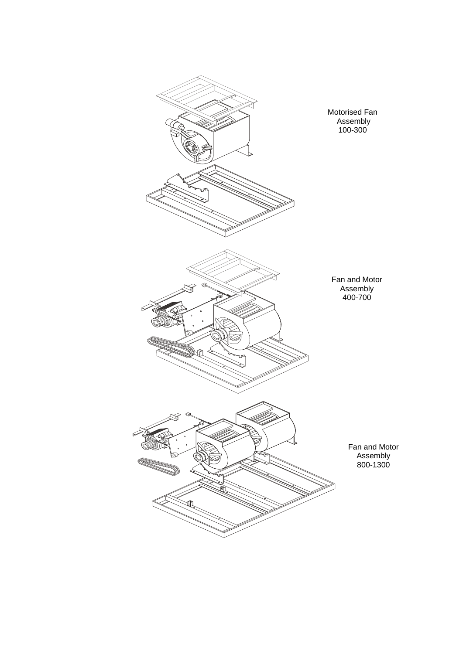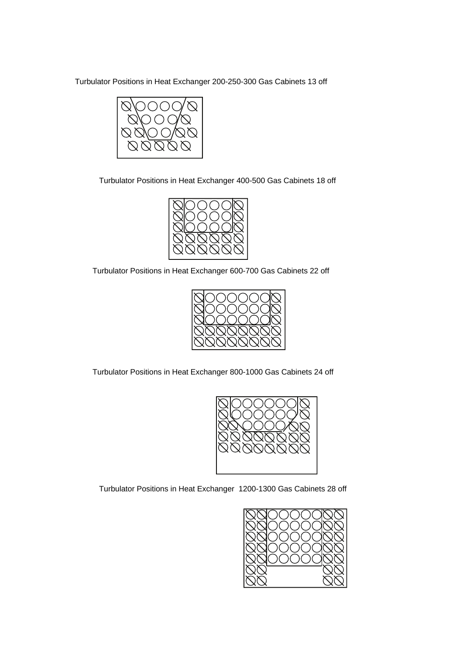Turbulator Positions in Heat Exchanger 200-250-300 Gas Cabinets 13 off



Turbulator Positions in Heat Exchanger 400-500 Gas Cabinets 18 off



Turbulator Positions in Heat Exchanger 600-700 Gas Cabinets 22 off



Turbulator Positions in Heat Exchanger 800-1000 Gas Cabinets 24 off



Turbulator Positions in Heat Exchanger 1200-1300 Gas Cabinets 28 off

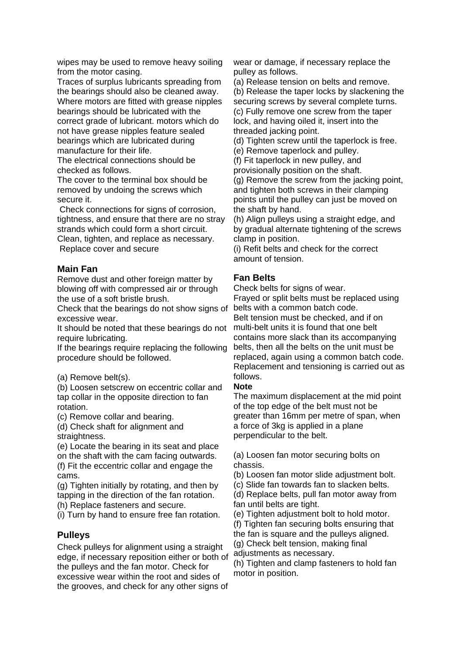wipes may be used to remove heavy soiling from the motor casing.

Traces of surplus lubricants spreading from the bearings should also be cleaned away. Where motors are fitted with grease nipples bearings should be lubricated with the correct grade of lubricant. motors which do not have grease nipples feature sealed bearings which are lubricated during manufacture for their life.

The electrical connections should be checked as follows.

The cover to the terminal box should be removed by undoing the screws which secure it.

 Check connections for signs of corrosion, tightness, and ensure that there are no stray strands which could form a short circuit. Clean, tighten, and replace as necessary. Replace cover and secure

#### **Main Fan**

Remove dust and other foreign matter by blowing off with compressed air or through the use of a soft bristle brush.

Check that the bearings do not show signs of excessive wear.

It should be noted that these bearings do not require lubricating.

If the bearings require replacing the following procedure should be followed.

#### (a) Remove belt(s).

(b) Loosen setscrew on eccentric collar and tap collar in the opposite direction to fan rotation.

(c) Remove collar and bearing.

(d) Check shaft for alignment and straightness.

(e) Locate the bearing in its seat and place on the shaft with the cam facing outwards. (f) Fit the eccentric collar and engage the

cams.

(g) Tighten initially by rotating, and then by tapping in the direction of the fan rotation.

(h) Replace fasteners and secure.

(i) Turn by hand to ensure free fan rotation.

#### **Pulleys**

Check pulleys for alignment using a straight edge, if necessary reposition either or both of the pulleys and the fan motor. Check for excessive wear within the root and sides of the grooves, and check for any other signs of

wear or damage, if necessary replace the pulley as follows.

(a) Release tension on belts and remove. (b) Release the taper locks by slackening the securing screws by several complete turns. (c) Fully remove one screw from the taper lock, and having oiled it, insert into the threaded jacking point.

(d) Tighten screw until the taperlock is free.

(e) Remove taperlock and pulley.

(f) Fit taperlock in new pulley, and provisionally position on the shaft.

(g) Remove the screw from the jacking point, and tighten both screws in their clamping points until the pulley can just be moved on the shaft by hand.

(h) Align pulleys using a straight edge, and by gradual alternate tightening of the screws clamp in position.

(i) Refit belts and check for the correct amount of tension.

#### **Fan Belts**

Check belts for signs of wear.

Frayed or split belts must be replaced using belts with a common batch code. Belt tension must be checked, and if on multi-belt units it is found that one belt contains more slack than its accompanying belts, then all the belts on the unit must be replaced, again using a common batch code. Replacement and tensioning is carried out as follows.

#### **Note**

The maximum displacement at the mid point of the top edge of the belt must not be greater than 16mm per metre of span, when a force of 3kg is applied in a plane perpendicular to the belt.

(a) Loosen fan motor securing bolts on chassis.

(b) Loosen fan motor slide adjustment bolt.

(c) Slide fan towards fan to slacken belts.

(d) Replace belts, pull fan motor away from fan until belts are tight.

(e) Tighten adjustment bolt to hold motor.

(f) Tighten fan securing bolts ensuring that

the fan is square and the pulleys aligned.

(g) Check belt tension, making final

adiustments as necessary.

(h) Tighten and clamp fasteners to hold fan motor in position.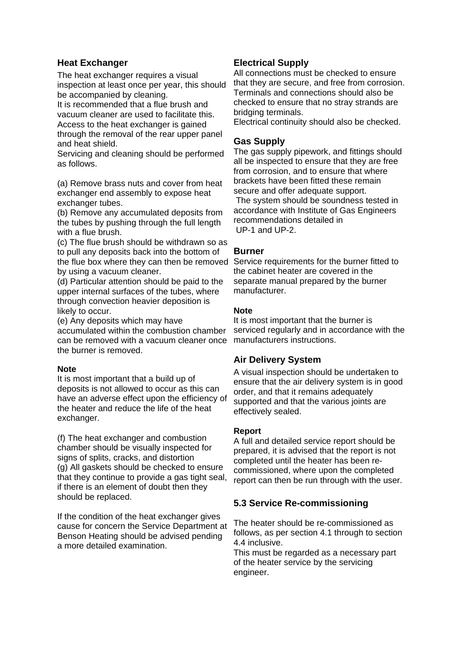#### **Heat Exchanger**

The heat exchanger requires a visual inspection at least once per year, this should be accompanied by cleaning.

It is recommended that a flue brush and vacuum cleaner are used to facilitate this. Access to the heat exchanger is gained through the removal of the rear upper panel and heat shield.

Servicing and cleaning should be performed as follows.

(a) Remove brass nuts and cover from heat exchanger end assembly to expose heat exchanger tubes.

(b) Remove any accumulated deposits from the tubes by pushing through the full length with a flue brush.

(c) The flue brush should be withdrawn so as to pull any deposits back into the bottom of the flue box where they can then be removed by using a vacuum cleaner.

(d) Particular attention should be paid to the upper internal surfaces of the tubes, where through convection heavier deposition is likely to occur.

(e) Any deposits which may have accumulated within the combustion chamber can be removed with a vacuum cleaner once the burner is removed.

#### **Note**

It is most important that a build up of deposits is not allowed to occur as this can have an adverse effect upon the efficiency of the heater and reduce the life of the heat exchanger.

(f) The heat exchanger and combustion chamber should be visually inspected for signs of splits, cracks, and distortion (g) All gaskets should be checked to ensure that they continue to provide a gas tight seal, if there is an element of doubt then they should be replaced.

If the condition of the heat exchanger gives cause for concern the Service Department at Benson Heating should be advised pending a more detailed examination.

#### **Electrical Supply**

All connections must be checked to ensure that they are secure, and free from corrosion. Terminals and connections should also be checked to ensure that no stray strands are bridging terminals.

Electrical continuity should also be checked.

#### **Gas Supply**

The gas supply pipework, and fittings should all be inspected to ensure that they are free from corrosion, and to ensure that where brackets have been fitted these remain secure and offer adequate support. The system should be soundness tested in accordance with Institute of Gas Engineers recommendations detailed in

UP-1 and UP-2.

#### **Burner**

Service requirements for the burner fitted to the cabinet heater are covered in the separate manual prepared by the burner manufacturer.

#### **Note**

It is most important that the burner is serviced regularly and in accordance with the manufacturers instructions.

#### **Air Delivery System**

A visual inspection should be undertaken to ensure that the air delivery system is in good order, and that it remains adequately supported and that the various joints are effectively sealed.

#### **Report**

A full and detailed service report should be prepared, it is advised that the report is not completed until the heater has been recommissioned, where upon the completed report can then be run through with the user.

#### **5.3 Service Re-commissioning**

The heater should be re-commissioned as follows, as per section 4.1 through to section 4.4 inclusive.

This must be regarded as a necessary part of the heater service by the servicing engineer.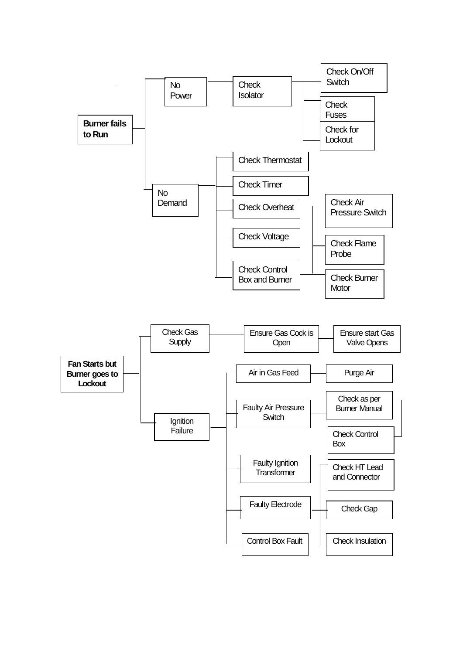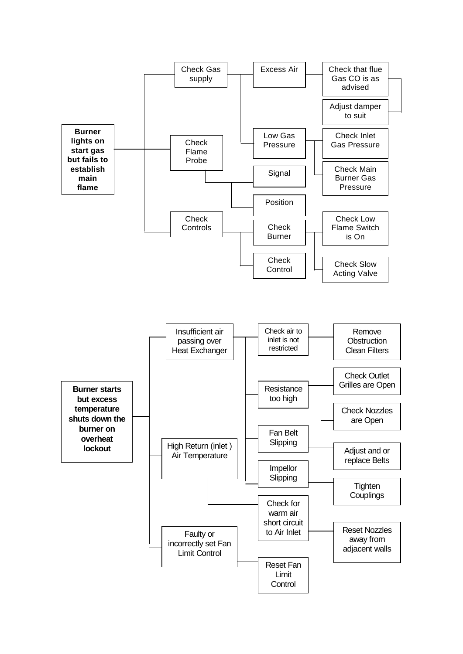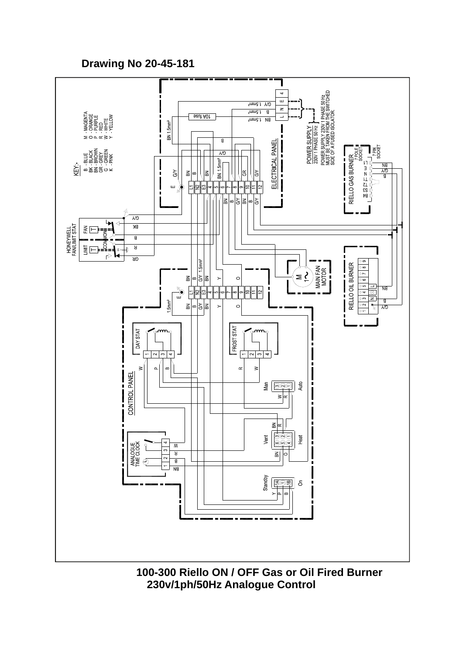

 **100-300 Riello ON / OFF Gas or Oil Fired Burner 230v/1ph/50Hz Analogue Control**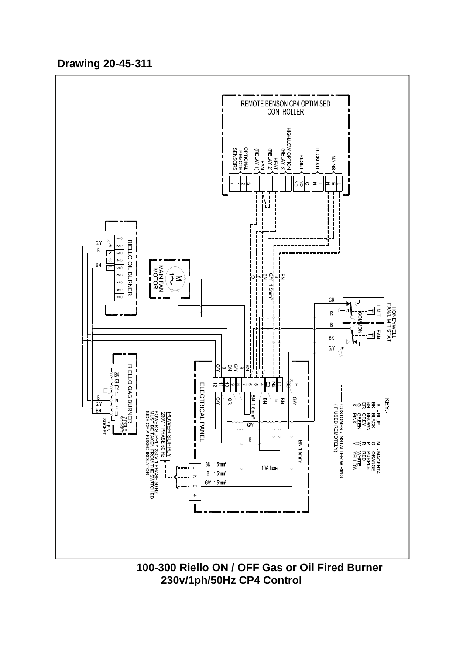



 **100-300 Riello ON / OFF Gas or Oil Fired Burner 230v/1ph/50Hz CP4 Control**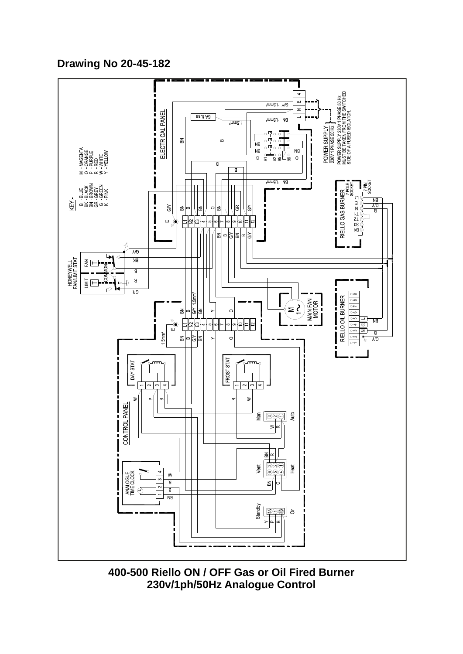

**400-500 Riello ON / OFF Gas or Oil Fired Burner 230v/1ph/50Hz Analogue Control**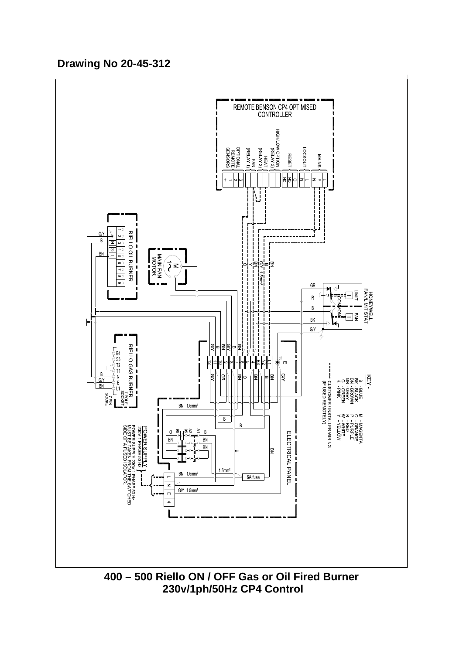

**400 – 500 Riello ON / OFF Gas or Oil Fired Burner 230v/1ph/50Hz CP4 Control**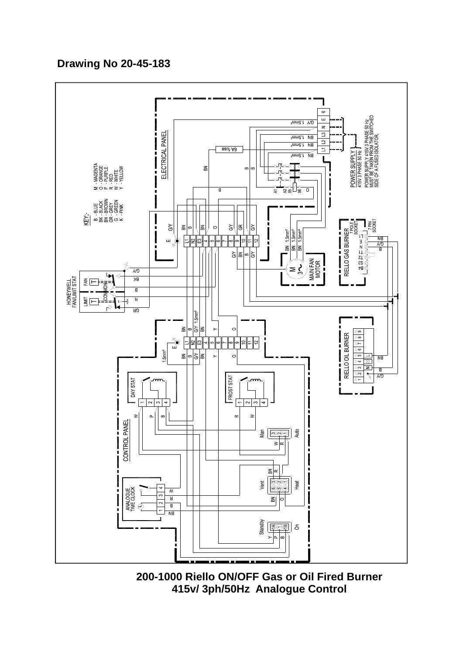

**200-1000 Riello ON/OFF Gas or Oil Fired Burner 415v/ 3ph/50Hz Analogue Control**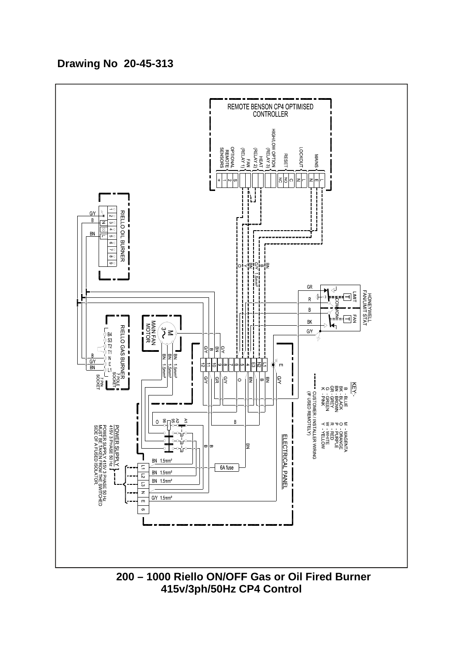

 **200 – 1000 Riello ON/OFF Gas or Oil Fired Burner 415v/3ph/50Hz CP4 Control**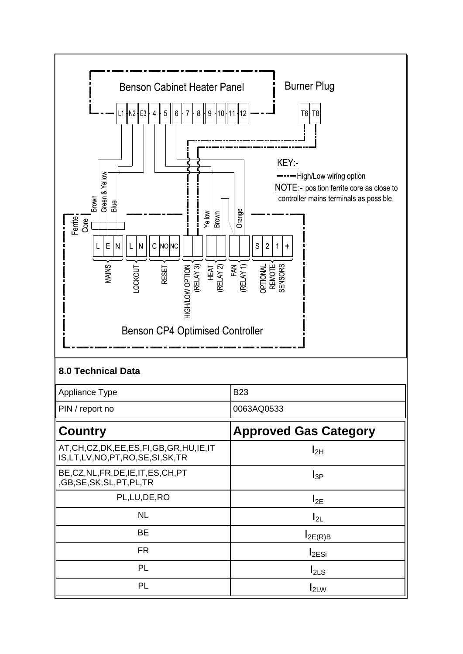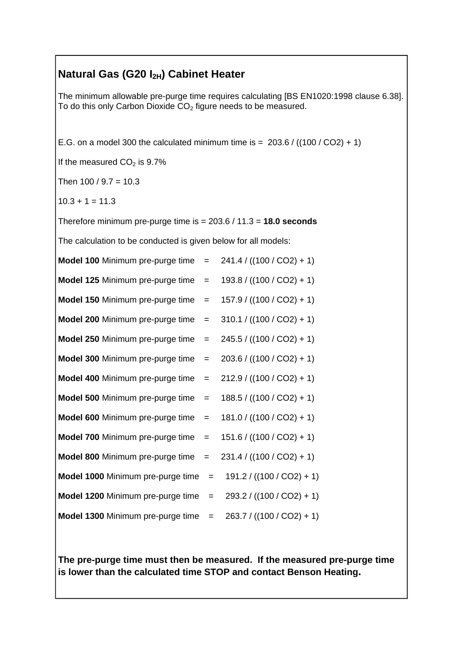### **Natural Gas (G20 I<sub>2H</sub>) Cabinet Heater**

The minimum allowable pre-purge time requires calculating [BS EN1020:1998 clause 6.38]. To do this only Carbon Dioxide  $CO<sub>2</sub>$  figure needs to be measured.

E.G. on a model 300 the calculated minimum time is =  $203.6 / ((100 / CO2) + 1)$ 

If the measured  $CO<sub>2</sub>$  is 9.7%

Then  $100 / 9.7 = 10.3$ 

 $10.3 + 1 = 11.3$ 

Therefore minimum pre-purge time is = 203.6 / 11.3 = **18.0 seconds**

The calculation to be conducted is given below for all models:

| Model 100 Minimum pre-purge time  | $=$ | $241.4 / ((100 / CO2) + 1)$ |
|-----------------------------------|-----|-----------------------------|
| Model 125 Minimum pre-purge time  | $=$ | $193.8 / ((100 / CO2) + 1)$ |
| Model 150 Minimum pre-purge time  | $=$ | $157.9 / ((100 / CO2) + 1)$ |
| Model 200 Minimum pre-purge time  | $=$ | $310.1 / ((100 / CO2) + 1)$ |
| Model 250 Minimum pre-purge time  | $=$ | $245.5 / ((100 / CO2) + 1)$ |
| Model 300 Minimum pre-purge time  | $=$ | $203.6 / ((100 / CO2) + 1)$ |
| Model 400 Minimum pre-purge time  | $=$ | $212.9 / ((100 / CO2) + 1)$ |
| Model 500 Minimum pre-purge time  | $=$ | $188.5 / ((100 / CO2) + 1)$ |
| Model 600 Minimum pre-purge time  | $=$ | $181.0 / ((100 / CO2) + 1)$ |
| Model 700 Minimum pre-purge time  | $=$ | $151.6 / ((100 / CO2) + 1)$ |
| Model 800 Minimum pre-purge time  | $=$ | $231.4 / ((100 / CO2) + 1)$ |
| Model 1000 Minimum pre-purge time | $=$ | $191.2 / ((100 / CO2) + 1)$ |
| Model 1200 Minimum pre-purge time | $=$ | $293.2 / ((100 / CO2) + 1)$ |
| Model 1300 Minimum pre-purge time | $=$ | 263.7 / ((100 / CO2) + 1)   |

**The pre-purge time must then be measured. If the measured pre-purge time is lower than the calculated time STOP and contact Benson Heating.**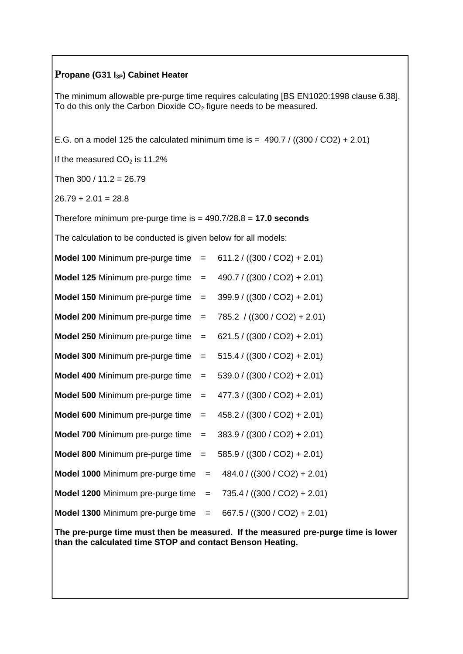#### Propane (G31 I<sub>3P</sub>) Cabinet Heater

The minimum allowable pre-purge time requires calculating [BS EN1020:1998 clause 6.38]. To do this only the Carbon Dioxide  $CO<sub>2</sub>$  figure needs to be measured.

E.G. on a model 125 the calculated minimum time is =  $490.7 / ((300 / CO2) + 2.01)$ 

If the measured  $CO<sub>2</sub>$  is 11.2%

Then  $300 / 11.2 = 26.79$ 

 $26.79 + 2.01 = 28.8$ 

Therefore minimum pre-purge time is = 490.7/28.8 = **17.0 seconds**

The calculation to be conducted is given below for all models:

| $=$ | $611.2 / ((300 / CO2) + 2.01)$ |
|-----|--------------------------------|
| $=$ | $490.7 / ((300 / CO2) + 2.01)$ |
| $=$ | $399.9 / ((300 / CO2) + 2.01)$ |
| $=$ | $785.2 / ((300 / CO2) + 2.01)$ |
| $=$ | $621.5 / ((300 / CO2) + 2.01)$ |
| $=$ | $515.4 / ((300 / CO2) + 2.01)$ |
| $=$ | $539.0 / ((300 / CO2) + 2.01)$ |
| $=$ | $477.3 / ((300 / CO2) + 2.01)$ |
| $=$ | $458.2 / ((300 / CO2) + 2.01)$ |
| $=$ | $383.9 / ((300 / CO2) + 2.01)$ |
| $=$ | $585.9 / ((300 / CO2) + 2.01)$ |
| $=$ | $484.0 / ((300 / CO2) + 2.01)$ |
| $=$ | $735.4 / ((300 / CO2) + 2.01)$ |
| $=$ | 667.5 / $((300 / CO2) + 2.01)$ |
|     |                                |

**The pre-purge time must then be measured. If the measured pre-purge time is lower than the calculated time STOP and contact Benson Heating.**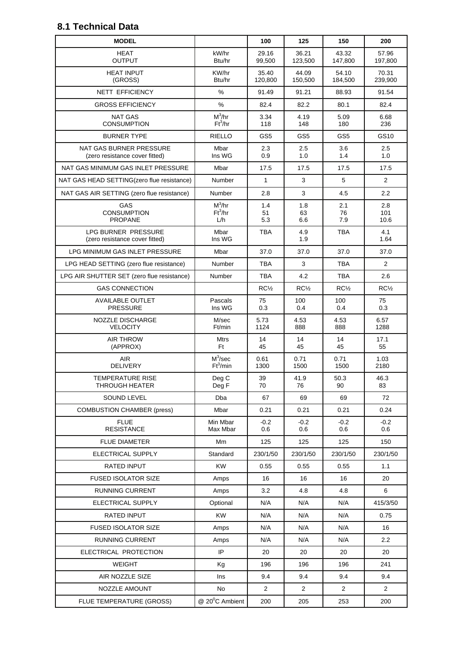#### **8.1 Technical Data**

| <b>MODEL</b>                                                 |                              | 100              | 125              | 150              | 200                |
|--------------------------------------------------------------|------------------------------|------------------|------------------|------------------|--------------------|
| <b>HEAT</b><br><b>OUTPUT</b>                                 | kW/hr<br>Btu/hr              | 29.16<br>99,500  | 36.21<br>123,500 | 43.32<br>147,800 | 57.96<br>197,800   |
| <b>HEAT INPUT</b><br>(GROSS)                                 | KW/hr<br>Btu/hr              | 35.40<br>120,800 | 44.09<br>150,500 | 54.10<br>184,500 | 70.31<br>239,900   |
| NETT EFFICIENCY                                              | $\frac{0}{0}$                | 91.49            | 91.21            | 88.93            | 91.54              |
| <b>GROSS EFFICIENCY</b>                                      | $\%$                         | 82.4             | 82.2             | 80.1             | 82.4               |
| <b>NAT GAS</b><br><b>CONSUMPTION</b>                         | $M^3/hr$<br>$Ft^3/hr$        | 3.34<br>118      | 4.19<br>148      | 5.09<br>180      | 6.68<br>236        |
| <b>BURNER TYPE</b>                                           | <b>RIELLO</b>                | GS <sub>5</sub>  | GS <sub>5</sub>  | GS <sub>5</sub>  | GS10               |
| NAT GAS BURNER PRESSURE<br>(zero resistance cover fitted)    | Mbar<br>Ins WG               | 2.3<br>0.9       | 2.5<br>1.0       | 3.6<br>1.4       | 2.5<br>1.0         |
| NAT GAS MINIMUM GAS INLET PRESSURE                           | Mbar                         | 17.5             | 17.5             | 17.5             | 17.5               |
| NAT GAS HEAD SETTING(zero flue resistance)                   | Number                       | $\mathbf{1}$     | 3                | 5                | $\overline{2}$     |
| NAT GAS AIR SETTING (zero flue resistance)                   | Number                       | 2.8              | 3                | 4.5              | $2.2\,$            |
| GAS<br><b>CONSUMPTION</b><br><b>PROPANE</b>                  | $M^3/hr$<br>$Ft^3/hr$<br>L/h | 1.4<br>51<br>5.3 | 1.8<br>63<br>6.6 | 2.1<br>76<br>7.9 | 2.8<br>101<br>10.6 |
| <b>LPG BURNER PRESSURE</b><br>(zero resistance cover fitted) | Mbar<br>Ins WG               | TBA              | 4.9<br>1.9       | TBA              | 4.1<br>1.64        |
| LPG MINIMUM GAS INLET PRESSURE                               | Mbar                         | 37.0             | 37.0             | 37.0             | 37.0               |
| LPG HEAD SETTING (zero flue resistance)                      | Number                       | <b>TBA</b>       | 3                | <b>TBA</b>       | $\overline{2}$     |
| LPG AIR SHUTTER SET (zero flue resistance)                   | Number                       | <b>TBA</b>       | 4.2              | <b>TBA</b>       | 2.6                |
| <b>GAS CONNECTION</b>                                        |                              | $RC\frac{1}{2}$  | $RC\frac{1}{2}$  | $RC\frac{1}{2}$  | $RC\frac{1}{2}$    |
| <b>AVAILABLE OUTLET</b><br><b>PRESSURE</b>                   | Pascals<br>Ins WG            | 75<br>0.3        | 100<br>0.4       | 100<br>0.4       | 75<br>0.3          |
| NOZZLE DISCHARGE<br>VELOCITY                                 | M/sec<br>Ft/min              | 5.73<br>1124     | 4.53<br>888      | 4.53<br>888      | 6.57<br>1288       |
| <b>AIR THROW</b><br>(APPROX)                                 | <b>Mtrs</b><br>Ft.           | 14<br>45         | 14<br>45         | 14<br>45         | 17.1<br>55         |
| <b>AIR</b><br><b>DELIVERY</b>                                | $M^3$ /sec<br>$Ft^3/min$     | 0.61<br>1300     | 0.71<br>1500     | 0.71<br>1500     | 1.03<br>2180       |
| <b>TEMPERATURE RISE</b><br><b>THROUGH HEATER</b>             | Deg C<br>Deg F               | 39<br>70         | 41.9<br>76       | 50.3<br>90       | 46.3<br>83         |
| SOUND LEVEL                                                  | Dba                          | 67               | 69               | 69               | 72                 |
| <b>COMBUSTION CHAMBER (press)</b>                            | Mbar                         | 0.21             | 0.21             | 0.21             | 0.24               |
| <b>FLUE</b><br><b>RESISTANCE</b>                             | Min Mbar<br>Max Mbar         | $-0.2$<br>0.6    | $-0.2$<br>0.6    | $-0.2$<br>0.6    | $-0.2$<br>0.6      |
| <b>FLUE DIAMETER</b>                                         | Mm                           | 125              | 125              | 125              | 150                |
| ELECTRICAL SUPPLY                                            | Standard                     | 230/1/50         | 230/1/50         | 230/1/50         | 230/1/50           |
| RATED INPUT                                                  | <b>KW</b>                    | 0.55             | 0.55             | 0.55             | 1.1                |
| <b>FUSED ISOLATOR SIZE</b>                                   | Amps                         | 16               | 16               | 16               | 20                 |
| <b>RUNNING CURRENT</b>                                       | Amps                         | 3.2              | 4.8              | 4.8              | 6                  |
| ELECTRICAL SUPPLY                                            | Optional                     | N/A              | N/A              | N/A              | 415/3/50           |
| <b>RATED INPUT</b>                                           | <b>KW</b>                    | N/A              | N/A              | N/A              | 0.75               |
| <b>FUSED ISOLATOR SIZE</b>                                   | Amps                         | N/A              | N/A              | N/A              | 16                 |
| <b>RUNNING CURRENT</b>                                       | Amps                         | N/A              | N/A              | N/A              | 2.2                |
| ELECTRICAL PROTECTION                                        | IP                           | 20               | 20               | 20               | 20                 |
| <b>WEIGHT</b>                                                | Kg                           | 196              | 196              | 196              | 241                |
| AIR NOZZLE SIZE                                              | Ins                          | 9.4              | 9.4              | 9.4              | 9.4                |
| NOZZLE AMOUNT                                                | No                           | $\overline{2}$   | $\overline{2}$   | $\overline{2}$   | $\overline{2}$     |
| FLUE TEMPERATURE (GROSS)                                     | @ 20°C Ambient               | 200              | 205              | 253              | 200                |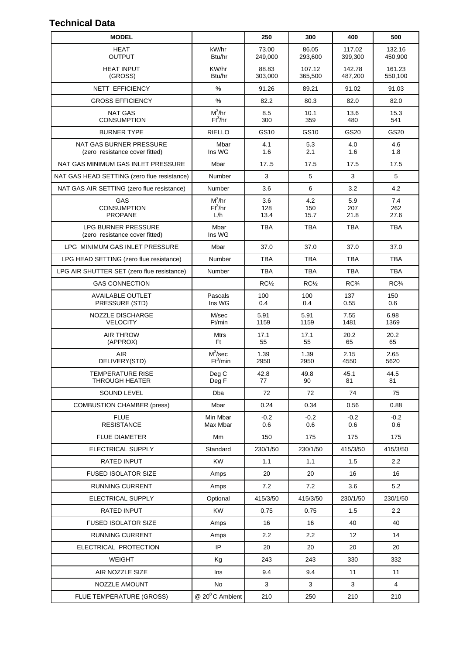#### **Technical Data**

| <b>MODEL</b>                                                 |                              | 250                | 300                | 400                | 500                |
|--------------------------------------------------------------|------------------------------|--------------------|--------------------|--------------------|--------------------|
| <b>HEAT</b><br><b>OUTPUT</b>                                 | kW/hr<br>Btu/hr              | 73.00<br>249,000   | 86.05<br>293.600   | 117.02<br>399.300  | 132.16<br>450,900  |
| <b>HEAT INPUT</b><br>(GROSS)                                 | KW/hr<br>Btu/hr              | 88.83<br>303,000   | 107.12<br>365,500  | 142.78<br>487,200  | 161.23<br>550,100  |
| NETT EFFICIENCY                                              | %                            | 91.26              | 89.21              | 91.02              | 91.03              |
| <b>GROSS EFFICIENCY</b>                                      | $\%$                         | 82.2               | 80.3               | 82.0               | 82.0               |
| <b>NAT GAS</b><br><b>CONSUMPTION</b>                         | $M^3/hr$<br>$Ft^3/hr$        | 8.5<br>300         | 10.1<br>359        | 13.6<br>480        | 15.3<br>541        |
| <b>BURNER TYPE</b>                                           | <b>RIELLO</b>                | GS10               | GS10               | GS20               | GS20               |
| NAT GAS BURNER PRESSURE<br>(zero resistance cover fitted)    | Mbar<br>Ins WG               | 4.1<br>1.6         | 5.3<br>2.1         | 4.0<br>1.6         | 4.6<br>1.8         |
| NAT GAS MINIMUM GAS INLET PRESSURE                           | Mbar                         | 17.5               | 17.5               | 17.5               | 17.5               |
| NAT GAS HEAD SETTING (zero flue resistance)                  | Number                       | 3                  | 5                  | 3                  | 5                  |
| NAT GAS AIR SETTING (zero flue resistance)                   | Number                       | 3.6                | 6                  | 3.2                | 4.2                |
| GAS<br><b>CONSUMPTION</b><br><b>PROPANE</b>                  | $M^3/hr$<br>$Ft^3/hr$<br>L/h | 3.6<br>128<br>13.4 | 4.2<br>150<br>15.7 | 5.9<br>207<br>21.8 | 7.4<br>262<br>27.6 |
| <b>LPG BURNER PRESSURE</b><br>(zero resistance cover fitted) | Mbar<br>Ins WG               | <b>TBA</b>         | TBA                | <b>TBA</b>         | <b>TBA</b>         |
| LPG MINIMUM GAS INLET PRESSURE                               | Mbar                         | 37.0               | 37.0               | 37.0               | 37.0               |
| LPG HEAD SETTING (zero flue resistance)                      | Number                       | <b>TBA</b>         | TBA                | <b>TBA</b>         | <b>TBA</b>         |
| LPG AIR SHUTTER SET (zero flue resistance)                   | Number                       | <b>TBA</b>         | <b>TBA</b>         | <b>TBA</b>         | <b>TBA</b>         |
| <b>GAS CONNECTION</b>                                        |                              | $RC\frac{1}{2}$    | $RC\frac{1}{2}$    | $RC\%$             | RC <sub>3</sub>    |
| <b>AVAILABLE OUTLET</b><br>PRESSURE (STD)                    | Pascals<br>Ins WG            | 100<br>0.4         | 100<br>0.4         | 137<br>0.55        | 150<br>0.6         |
| NOZZLE DISCHARGE<br><b>VELOCITY</b>                          | M/sec<br>Ft/min              | 5.91<br>1159       | 5.91<br>1159       | 7.55<br>1481       | 6.98<br>1369       |
| <b>AIR THROW</b><br>(APPROX)                                 | <b>Mtrs</b><br>Ft            | 17.1<br>55         | 17.1<br>55         | 20.2<br>65         | 20.2<br>65         |
| AIR<br>DELIVERY(STD)                                         | $M^3$ /sec<br>$Ft^3$ /min    | 1.39<br>2950       | 1.39<br>2950       | 2.15<br>4550       | 2.65<br>5620       |
| <b>TEMPERATURE RISE</b><br>THROUGH HEATER                    | Deg C<br>Deg F               | 42.8<br>77         | 49.8<br>90         | 45.1<br>81         | 44.5<br>81         |
| SOUND LEVEL                                                  | Dba                          | 72                 | 72                 | 74                 | 75                 |
| <b>COMBUSTION CHAMBER (press)</b>                            | Mbar                         | 0.24               | 0.34               | 0.56               | 0.88               |
| <b>FLUE</b><br><b>RESISTANCE</b>                             | Min Mbar<br>Max Mbar         | $-0.2$<br>0.6      | $-0.2$<br>0.6      | $-0.2$<br>0.6      | $-0.2$<br>0.6      |
| <b>FLUE DIAMETER</b>                                         | Mm                           | 150                | 175                | 175                | 175                |
| ELECTRICAL SUPPLY                                            | Standard                     | 230/1/50           | 230/1/50           | 415/3/50           | 415/3/50           |
| RATED INPUT                                                  | <b>KW</b>                    | 1.1                | 1.1                | 1.5                | $2.2\,$            |
| <b>FUSED ISOLATOR SIZE</b>                                   | Amps                         | 20                 | 20                 | 16                 | 16                 |
| <b>RUNNING CURRENT</b>                                       | Amps                         | 7.2                | 7.2                | 3.6                | 5.2                |
| ELECTRICAL SUPPLY                                            | Optional                     | 415/3/50           | 415/3/50           | 230/1/50           | 230/1/50           |
| RATED INPUT                                                  | <b>KW</b>                    | 0.75               | 0.75               | 1.5                | 2.2                |
| <b>FUSED ISOLATOR SIZE</b>                                   | Amps                         | 16                 | 16                 | 40                 | 40                 |
| RUNNING CURRENT                                              | Amps                         | 2.2                | $2.2\phantom{0}$   | 12                 | 14                 |
| ELECTRICAL PROTECTION                                        | IP                           | 20                 | 20                 | 20                 | 20                 |
| <b>WEIGHT</b>                                                | Kg                           | 243                | 243                | 330                | 332                |
| AIR NOZZLE SIZE                                              | Ins                          | 9.4                | 9.4                | 11                 | 11                 |
| NOZZLE AMOUNT                                                | No                           | 3                  | 3                  | 3                  | 4                  |
| FLUE TEMPERATURE (GROSS)                                     | @ 20°C Ambient               | 210                | 250                | 210                | 210                |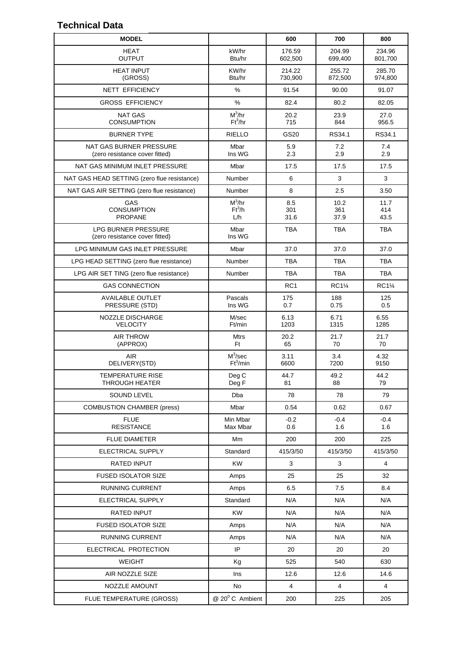#### **Technical Data**

| <b>MODEL</b>                                                 |                             | 600                | 700                             | 800                             |
|--------------------------------------------------------------|-----------------------------|--------------------|---------------------------------|---------------------------------|
| <b>HEAT</b><br><b>OUTPUT</b>                                 | kW/hr<br>Btu/hr             | 176.59<br>602,500  | 204.99<br>699,400               | 234.96<br>801,700               |
| <b>HEAT INPUT</b><br>(GROSS)                                 | KW/hr<br>Btu/hr             | 214.22<br>730,900  | 255.72<br>872,500               | 285.70<br>974,800               |
| <b>NETT EFFICIENCY</b>                                       | %                           | 91.54              | 90.00                           | 91.07                           |
| <b>GROSS EFFICIENCY</b>                                      | %                           | 82.4               | 80.2                            | 82.05                           |
| <b>NAT GAS</b><br><b>CONSUMPTION</b>                         | $M^3/hr$<br>$Ft^3/hr$       | 20.2<br>715        | 23.9<br>844                     | 27.0<br>956.5                   |
| <b>BURNER TYPE</b>                                           | <b>RIELLO</b>               | GS20               | RS34.1                          | RS34.1                          |
| NAT GAS BURNER PRESSURE<br>(zero resistance cover fitted)    | Mbar<br>Ins WG              | 5.9<br>2.3         | 7.2<br>2.9                      | 7.4<br>2.9                      |
| NAT GAS MINIMUM INLET PRESSURE                               | Mbar                        | 17.5               | 17.5                            | 17.5                            |
| NAT GAS HEAD SETTING (zero flue resistance)                  | Number                      | 6                  | 3                               | 3                               |
| NAT GAS AIR SETTING (zero flue resistance)                   | Number                      | 8                  | 2.5                             | 3.50                            |
| GAS<br><b>CONSUMPTION</b><br><b>PROPANE</b>                  | $M^3/hr$<br>$Ft^3/h$<br>L/h | 8.5<br>301<br>31.6 | 10.2<br>361<br>37.9             | 11.7<br>414<br>43.5             |
| <b>LPG BURNER PRESSURE</b><br>(zero resistance cover fitted) | Mbar<br>Ins WG              | TBA                | TBA                             | <b>TBA</b>                      |
| LPG MINIMUM GAS INLET PRESSURE                               | Mbar                        | 37.0               | 37.0                            | 37.0                            |
| LPG HEAD SETTING (zero flue resistance)                      | Number                      | <b>TBA</b>         | TBA                             | <b>TBA</b>                      |
| LPG AIR SET TING (zero flue resistance)                      | Number                      | <b>TBA</b>         | <b>TBA</b>                      | <b>TBA</b>                      |
| <b>GAS CONNECTION</b>                                        |                             | RC <sub>1</sub>    | RC1 <sup>1</sup> / <sub>4</sub> | RC1 <sup>1</sup> / <sub>4</sub> |
| <b>AVAILABLE OUTLET</b><br>PRESSURE (STD)                    | Pascals<br>Ins WG           | 175<br>0.7         | 188<br>0.75                     | 125<br>0.5                      |
| NOZZLE DISCHARGE<br><b>VELOCITY</b>                          | M/sec<br>Ft/min             | 6.13<br>1203       | 6.71<br>1315                    | 6.55<br>1285                    |
| <b>AIR THROW</b><br>(APPROX)                                 | <b>Mtrs</b><br>Ft           | 20.2<br>65         | 21.7<br>70                      | 21.7<br>70                      |
| <b>AIR</b><br>DELIVERY(STD)                                  | $M^3$ /sec<br>$Ft^3/m$ in   | 3.11<br>6600       | 3.4<br>7200                     | 4.32<br>9150                    |
| <b>TEMPERATURE RISE</b><br>THROUGH HEATER                    | Deg C<br>Deg F              | 44.7<br>81         | 49.2<br>88                      | 44.2<br>79                      |
| SOUND LEVEL                                                  | Dba                         | 78                 | 78                              | 79                              |
| <b>COMBUSTION CHAMBER (press)</b>                            | Mbar                        | 0.54               | 0.62                            | 0.67                            |
| <b>FLUE</b><br><b>RESISTANCE</b>                             | Min Mbar<br>Max Mbar        | $-0.2$<br>0.6      | $-0.4$<br>1.6                   | $-0.4$<br>1.6                   |
| <b>FLUE DIAMETER</b>                                         | Mm                          | 200                | 200                             | 225                             |
| ELECTRICAL SUPPLY                                            | Standard                    | 415/3/50           | 415/3/50                        | 415/3/50                        |
| RATED INPUT                                                  | <b>KW</b>                   | 3                  | 3                               | 4                               |
| <b>FUSED ISOLATOR SIZE</b>                                   | Amps                        | 25                 | 25                              | 32                              |
| <b>RUNNING CURRENT</b>                                       | Amps                        | 6.5                | 7.5                             | 8.4                             |
| ELECTRICAL SUPPLY                                            | Standard                    | N/A                | N/A                             | N/A                             |
| RATED INPUT                                                  | <b>KW</b>                   | N/A                | N/A                             | N/A                             |
| <b>FUSED ISOLATOR SIZE</b>                                   | Amps                        | N/A                | N/A                             | N/A                             |
| <b>RUNNING CURRENT</b>                                       | Amps                        | N/A                | N/A                             | N/A                             |
| ELECTRICAL PROTECTION                                        | IP                          | 20                 | 20                              | 20                              |
| WEIGHT                                                       | Kg                          | 525                | 540                             | 630                             |
| AIR NOZZLE SIZE                                              | Ins                         | 12.6               | 12.6                            | 14.6                            |
| NOZZLE AMOUNT                                                | No                          | $\overline{4}$     | 4                               | 4                               |
| FLUE TEMPERATURE (GROSS)                                     | @ 20°C Ambient              | 200                | 225                             | 205                             |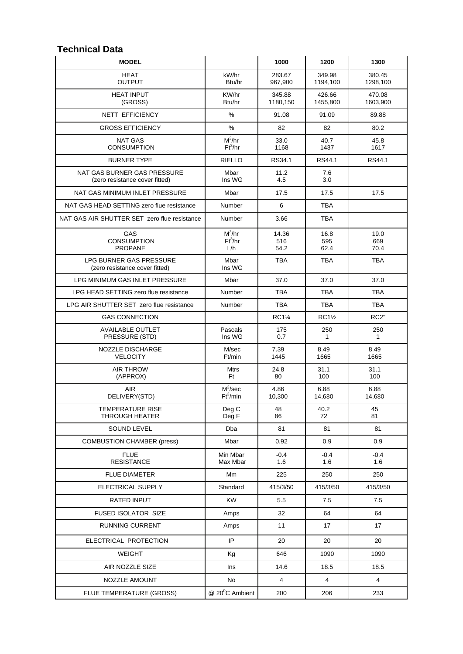#### **Technical Data**

| <b>MODEL</b>                                                  |                              | 1000                            | 1200                            | 1300                |
|---------------------------------------------------------------|------------------------------|---------------------------------|---------------------------------|---------------------|
| <b>HEAT</b><br><b>OUTPUT</b>                                  | kW/hr<br>Btu/hr              | 283.67<br>967,900               | 349.98<br>1194,100              | 380.45<br>1298,100  |
| <b>HEAT INPUT</b><br>(GROSS)                                  | KW/hr<br>Btu/hr              | 345.88<br>1180.150              | 426.66<br>1455,800              | 470.08<br>1603.900  |
| <b>NETT EFFICIENCY</b>                                        | %                            | 91.08                           | 91.09                           | 89.88               |
| <b>GROSS EFFICIENCY</b>                                       | $\%$                         | 82                              | 82                              | 80.2                |
| <b>NAT GAS</b><br><b>CONSUMPTION</b>                          | $M^3/hr$<br>$Ft^3/hr$        | 33.0<br>1168                    | 40.7<br>1437                    | 45.8<br>1617        |
| <b>BURNER TYPE</b>                                            | <b>RIELLO</b>                | RS34.1                          | RS44.1                          | RS44.1              |
| NAT GAS BURNER GAS PRESSURE<br>(zero resistance cover fitted) | Mbar<br>Ins WG               | 11.2<br>4.5                     | 7.6<br>3.0                      |                     |
| NAT GAS MINIMUM INLET PRESSURE                                | Mbar                         | 17.5                            | 17.5                            | 17.5                |
| NAT GAS HEAD SETTING zero flue resistance                     | Number                       | 6                               | <b>TBA</b>                      |                     |
| NAT GAS AIR SHUTTER SET zero flue resistance                  | Number                       | 3.66                            | <b>TBA</b>                      |                     |
| GAS<br><b>CONSUMPTION</b><br><b>PROPANE</b>                   | $M^3/hr$<br>$Ft^3/hr$<br>L/h | 14.36<br>516<br>54.2            | 16.8<br>595<br>62.4             | 19.0<br>669<br>70.4 |
| LPG BURNER GAS PRESSURE<br>(zero resistance cover fitted)     | Mbar<br>Ins WG               | TBA                             | <b>TBA</b>                      | TBA                 |
| LPG MINIMUM GAS INLET PRESSURE                                | Mbar                         | 37.0                            | 37.0                            | 37.0                |
| LPG HEAD SETTING zero flue resistance                         | Number                       | <b>TBA</b>                      | <b>TBA</b>                      | TBA                 |
| LPG AIR SHUTTER SET zero flue resistance                      | Number                       | <b>TBA</b>                      | <b>TBA</b>                      | <b>TBA</b>          |
| <b>GAS CONNECTION</b>                                         |                              | RC1 <sup>1</sup> / <sub>4</sub> | RC1 <sup>1</sup> / <sub>2</sub> | RC <sub>2</sub> "   |
| <b>AVAILABLE OUTLET</b><br>PRESSURE (STD)                     | Pascals<br>Ins WG            | 175<br>0.7                      | 250<br>1                        | 250<br>$\mathbf{1}$ |
| NOZZLE DISCHARGE<br><b>VELOCITY</b>                           | M/sec<br>Ft/min              | 7.39<br>1445                    | 8.49<br>1665                    | 8.49<br>1665        |
| <b>AIR THROW</b><br>(APPROX)                                  | <b>Mtrs</b><br>Ft            | 24.8<br>80                      | 31.1<br>100                     | 31.1<br>100         |
| <b>AIR</b><br>DELIVERY(STD)                                   | $M^3$ /sec<br>$Ft^3$ /min    | 4.86<br>10,300                  | 6.88<br>14,680                  | 6.88<br>14,680      |
| <b>TEMPERATURE RISE</b><br><b>THROUGH HEATER</b>              | Deg C<br>Deg F               | 48<br>86                        | 40.2<br>72                      | 45<br>81            |
| SOUND LEVEL                                                   | Dba                          | 81                              | 81                              | 81                  |
| <b>COMBUSTION CHAMBER (press)</b>                             | Mbar                         | 0.92                            | 0.9                             | 0.9                 |
| <b>FLUE</b><br><b>RESISTANCE</b>                              | Min Mbar<br>Max Mbar         | $-0.4$<br>1.6                   | $-0.4$<br>1.6                   | $-0.4$<br>1.6       |
| <b>FLUE DIAMETER</b>                                          | Mm                           | 225                             | 250                             | 250                 |
| ELECTRICAL SUPPLY                                             | Standard                     | 415/3/50                        | 415/3/50                        | 415/3/50            |
| RATED INPUT                                                   | <b>KW</b>                    | 5.5                             | 7.5                             | 7.5                 |
| <b>FUSED ISOLATOR SIZE</b>                                    | Amps                         | 32                              | 64                              | 64                  |
| <b>RUNNING CURRENT</b>                                        | Amps                         | 11                              | 17                              | 17                  |
| ELECTRICAL PROTECTION                                         | IP                           | 20                              | 20                              | 20                  |
| <b>WEIGHT</b>                                                 | Kg                           | 646                             | 1090                            | 1090                |
| AIR NOZZLE SIZE                                               | Ins                          | 14.6                            | 18.5                            | 18.5                |
| NOZZLE AMOUNT                                                 | No                           | 4                               | 4                               | 4                   |
| FLUE TEMPERATURE (GROSS)                                      | @ 20°C Ambient               | 200                             | 206                             | 233                 |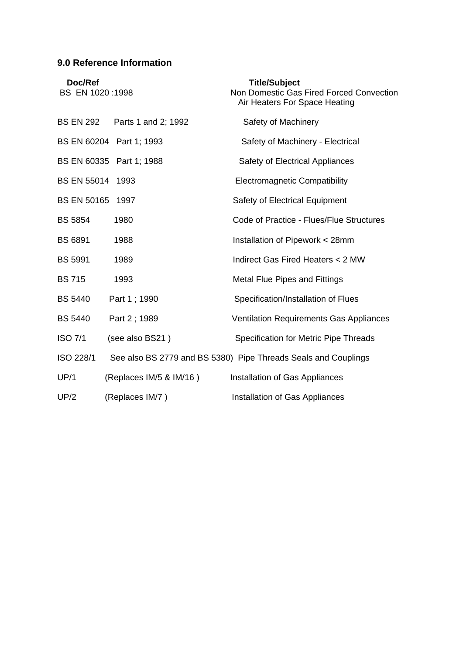#### **9.0 Reference Information**

| Doc/Ref<br>BS EN 1020:1998 |                          | <b>Title/Subject</b><br>Non Domestic Gas Fired Forced Convection<br>Air Heaters For Space Heating |
|----------------------------|--------------------------|---------------------------------------------------------------------------------------------------|
| <b>BS EN 292</b>           | Parts 1 and 2; 1992      | Safety of Machinery                                                                               |
|                            | BS EN 60204 Part 1; 1993 | Safety of Machinery - Electrical                                                                  |
|                            | BS EN 60335 Part 1; 1988 | Safety of Electrical Appliances                                                                   |
| BS EN 55014 1993           |                          | <b>Electromagnetic Compatibility</b>                                                              |
| <b>BS EN 50165</b>         | 1997                     | Safety of Electrical Equipment                                                                    |
| <b>BS 5854</b>             | 1980                     | Code of Practice - Flues/Flue Structures                                                          |
| <b>BS 6891</b>             | 1988                     | Installation of Pipework < 28mm                                                                   |
| <b>BS 5991</b>             | 1989                     | Indirect Gas Fired Heaters < 2 MW                                                                 |
| <b>BS 715</b>              | 1993                     | Metal Flue Pipes and Fittings                                                                     |
| <b>BS 5440</b>             | Part 1; 1990             | Specification/Installation of Flues                                                               |
| <b>BS 5440</b>             | Part 2; 1989             | <b>Ventilation Requirements Gas Appliances</b>                                                    |
| <b>ISO 7/1</b>             | (see also BS21)          | <b>Specification for Metric Pipe Threads</b>                                                      |
| ISO 228/1                  |                          | See also BS 2779 and BS 5380) Pipe Threads Seals and Couplings                                    |
| UP/1                       | (Replaces IM/5 & IM/16)  | Installation of Gas Appliances                                                                    |
| UP/2                       | (Replaces IM/7)          | Installation of Gas Appliances                                                                    |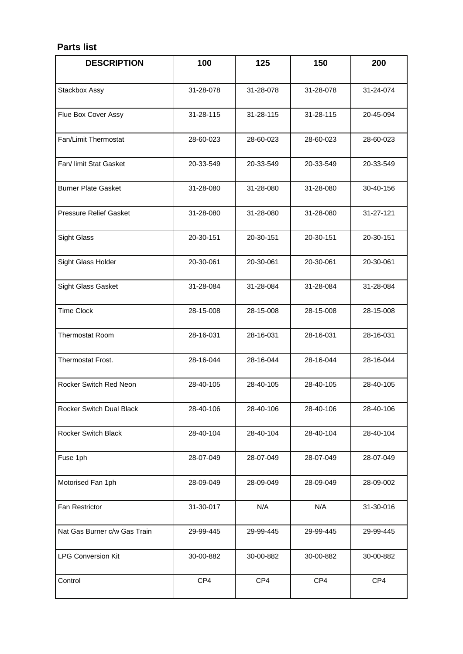#### **Parts list**

| <b>DESCRIPTION</b>            | 100       | 125       | 150       | 200       |
|-------------------------------|-----------|-----------|-----------|-----------|
|                               |           |           |           |           |
| Stackbox Assy                 | 31-28-078 | 31-28-078 | 31-28-078 | 31-24-074 |
| Flue Box Cover Assy           | 31-28-115 | 31-28-115 | 31-28-115 | 20-45-094 |
| Fan/Limit Thermostat          | 28-60-023 | 28-60-023 | 28-60-023 | 28-60-023 |
| Fan/ limit Stat Gasket        | 20-33-549 | 20-33-549 | 20-33-549 | 20-33-549 |
| <b>Burner Plate Gasket</b>    | 31-28-080 | 31-28-080 | 31-28-080 | 30-40-156 |
| <b>Pressure Relief Gasket</b> | 31-28-080 | 31-28-080 | 31-28-080 | 31-27-121 |
| <b>Sight Glass</b>            | 20-30-151 | 20-30-151 | 20-30-151 | 20-30-151 |
| Sight Glass Holder            | 20-30-061 | 20-30-061 | 20-30-061 | 20-30-061 |
| Sight Glass Gasket            | 31-28-084 | 31-28-084 | 31-28-084 | 31-28-084 |
| <b>Time Clock</b>             | 28-15-008 | 28-15-008 | 28-15-008 | 28-15-008 |
| <b>Thermostat Room</b>        | 28-16-031 | 28-16-031 | 28-16-031 | 28-16-031 |
| Thermostat Frost.             | 28-16-044 | 28-16-044 | 28-16-044 | 28-16-044 |
| <b>Rocker Switch Red Neon</b> | 28-40-105 | 28-40-105 | 28-40-105 | 28-40-105 |
| Rocker Switch Dual Black      | 28-40-106 | 28-40-106 | 28-40-106 | 28-40-106 |
| <b>Rocker Switch Black</b>    | 28-40-104 | 28-40-104 | 28-40-104 | 28-40-104 |
| Fuse 1ph                      | 28-07-049 | 28-07-049 | 28-07-049 | 28-07-049 |
| Motorised Fan 1ph             | 28-09-049 | 28-09-049 | 28-09-049 | 28-09-002 |
| Fan Restrictor                | 31-30-017 | N/A       | N/A       | 31-30-016 |
| Nat Gas Burner c/w Gas Train  | 29-99-445 | 29-99-445 | 29-99-445 | 29-99-445 |
| <b>LPG Conversion Kit</b>     | 30-00-882 | 30-00-882 | 30-00-882 | 30-00-882 |
| Control                       | CP4       | CP4       | CP4       | CP4       |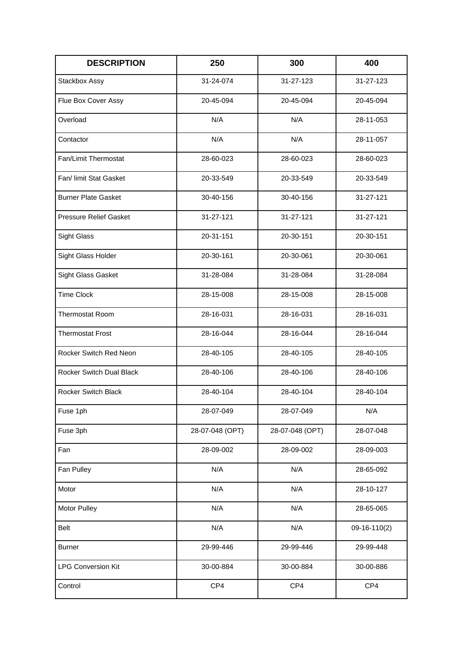| <b>DESCRIPTION</b>              | 250             | 300             | 400          |
|---------------------------------|-----------------|-----------------|--------------|
| Stackbox Assy                   | 31-24-074       | 31-27-123       | 31-27-123    |
| Flue Box Cover Assy             | 20-45-094       | 20-45-094       | 20-45-094    |
| Overload                        | N/A             | N/A             | 28-11-053    |
| Contactor                       | N/A             | N/A             | 28-11-057    |
| Fan/Limit Thermostat            | 28-60-023       | 28-60-023       | 28-60-023    |
| Fan/ limit Stat Gasket          | 20-33-549       | 20-33-549       | 20-33-549    |
| <b>Burner Plate Gasket</b>      | 30-40-156       | 30-40-156       | 31-27-121    |
| <b>Pressure Relief Gasket</b>   | 31-27-121       | 31-27-121       | 31-27-121    |
| Sight Glass                     | 20-31-151       | 20-30-151       | 20-30-151    |
| Sight Glass Holder              | 20-30-161       | 20-30-061       | 20-30-061    |
| Sight Glass Gasket              | 31-28-084       | 31-28-084       | 31-28-084    |
| <b>Time Clock</b>               | 28-15-008       | 28-15-008       | 28-15-008    |
| <b>Thermostat Room</b>          | 28-16-031       | 28-16-031       | 28-16-031    |
| <b>Thermostat Frost</b>         | 28-16-044       | 28-16-044       | 28-16-044    |
| Rocker Switch Red Neon          | 28-40-105       | 28-40-105       | 28-40-105    |
| <b>Rocker Switch Dual Black</b> | 28-40-106       | 28-40-106       | 28-40-106    |
| <b>Rocker Switch Black</b>      | 28-40-104       | 28-40-104       | 28-40-104    |
| Fuse 1ph                        | 28-07-049       | 28-07-049       | N/A          |
| Fuse 3ph                        | 28-07-048 (OPT) | 28-07-048 (OPT) | 28-07-048    |
| Fan                             | 28-09-002       | 28-09-002       | 28-09-003    |
| Fan Pulley                      | N/A             | N/A             | 28-65-092    |
| Motor                           | N/A             | N/A             | 28-10-127    |
| <b>Motor Pulley</b>             | N/A             | N/A             | 28-65-065    |
| <b>Belt</b>                     | N/A             | N/A             | 09-16-110(2) |
| <b>Burner</b>                   | 29-99-446       | 29-99-446       | 29-99-448    |
| <b>LPG Conversion Kit</b>       | 30-00-884       | 30-00-884       | 30-00-886    |
| Control                         | CP4             | CP4             | CP4          |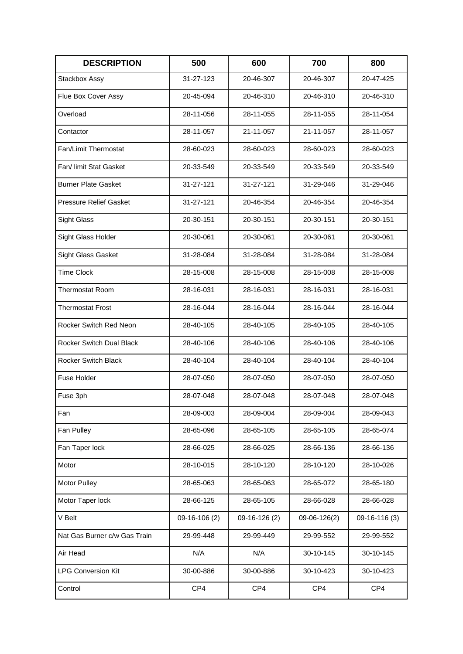| <b>DESCRIPTION</b>              | 500           | 600           | 700          | 800           |
|---------------------------------|---------------|---------------|--------------|---------------|
| Stackbox Assy                   | 31-27-123     | 20-46-307     | 20-46-307    | 20-47-425     |
| Flue Box Cover Assy             | 20-45-094     | 20-46-310     | 20-46-310    | 20-46-310     |
| Overload                        | 28-11-056     | 28-11-055     | 28-11-055    | 28-11-054     |
| Contactor                       | 28-11-057     | 21-11-057     | 21-11-057    | 28-11-057     |
| Fan/Limit Thermostat            | 28-60-023     | 28-60-023     | 28-60-023    | 28-60-023     |
| Fan/ limit Stat Gasket          | 20-33-549     | 20-33-549     | 20-33-549    | 20-33-549     |
| <b>Burner Plate Gasket</b>      | 31-27-121     | 31-27-121     | 31-29-046    | 31-29-046     |
| <b>Pressure Relief Gasket</b>   | 31-27-121     | 20-46-354     | 20-46-354    | 20-46-354     |
| <b>Sight Glass</b>              | 20-30-151     | 20-30-151     | 20-30-151    | 20-30-151     |
| Sight Glass Holder              | 20-30-061     | 20-30-061     | 20-30-061    | 20-30-061     |
| Sight Glass Gasket              | 31-28-084     | 31-28-084     | 31-28-084    | 31-28-084     |
| <b>Time Clock</b>               | 28-15-008     | 28-15-008     | 28-15-008    | 28-15-008     |
| Thermostat Room                 | 28-16-031     | 28-16-031     | 28-16-031    | 28-16-031     |
| <b>Thermostat Frost</b>         | 28-16-044     | 28-16-044     | 28-16-044    | 28-16-044     |
| <b>Rocker Switch Red Neon</b>   | 28-40-105     | 28-40-105     | 28-40-105    | 28-40-105     |
| <b>Rocker Switch Dual Black</b> | 28-40-106     | 28-40-106     | 28-40-106    | 28-40-106     |
| <b>Rocker Switch Black</b>      | 28-40-104     | 28-40-104     | 28-40-104    | 28-40-104     |
| Fuse Holder                     | 28-07-050     | 28-07-050     | 28-07-050    | 28-07-050     |
| Fuse 3ph                        | 28-07-048     | 28-07-048     | 28-07-048    | 28-07-048     |
| Fan                             | 28-09-003     | 28-09-004     | 28-09-004    | 28-09-043     |
| Fan Pulley                      | 28-65-096     | 28-65-105     | 28-65-105    | 28-65-074     |
| Fan Taper lock                  | 28-66-025     | 28-66-025     | 28-66-136    | 28-66-136     |
| Motor                           | 28-10-015     | 28-10-120     | 28-10-120    | 28-10-026     |
| Motor Pulley                    | 28-65-063     | 28-65-063     | 28-65-072    | 28-65-180     |
| Motor Taper lock                | 28-66-125     | 28-65-105     | 28-66-028    | 28-66-028     |
| V Belt                          | 09-16-106 (2) | 09-16-126 (2) | 09-06-126(2) | 09-16-116 (3) |
| Nat Gas Burner c/w Gas Train    | 29-99-448     | 29-99-449     | 29-99-552    | 29-99-552     |
| Air Head                        | N/A           | N/A           | 30-10-145    | 30-10-145     |
| <b>LPG Conversion Kit</b>       | 30-00-886     | 30-00-886     | 30-10-423    | 30-10-423     |
| Control                         | CP4           | CP4           | CP4          | CP4           |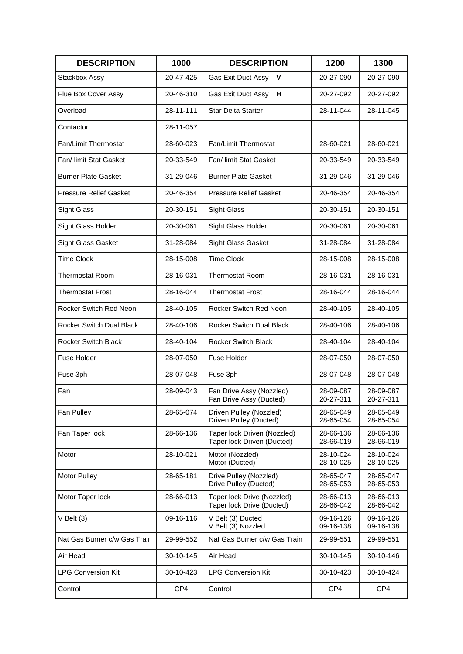| <b>DESCRIPTION</b>              | 1000      | <b>DESCRIPTION</b>                                        | 1200                   | 1300                   |
|---------------------------------|-----------|-----------------------------------------------------------|------------------------|------------------------|
| Stackbox Assy                   | 20-47-425 | Gas Exit Duct Assy<br><b>V</b>                            | 20-27-090              | 20-27-090              |
| Flue Box Cover Assy             | 20-46-310 | Gas Exit Duct Assy<br>H                                   | 20-27-092              | 20-27-092              |
| Overload                        | 28-11-111 | <b>Star Delta Starter</b>                                 | 28-11-044              | 28-11-045              |
| Contactor                       | 28-11-057 |                                                           |                        |                        |
| Fan/Limit Thermostat            | 28-60-023 | Fan/Limit Thermostat                                      | 28-60-021              | 28-60-021              |
| Fan/ limit Stat Gasket          | 20-33-549 | Fan/ limit Stat Gasket                                    | 20-33-549              | 20-33-549              |
| <b>Burner Plate Gasket</b>      | 31-29-046 | <b>Burner Plate Gasket</b>                                | 31-29-046              | 31-29-046              |
| <b>Pressure Relief Gasket</b>   | 20-46-354 | <b>Pressure Relief Gasket</b>                             | 20-46-354              | 20-46-354              |
| <b>Sight Glass</b>              | 20-30-151 | <b>Sight Glass</b>                                        | 20-30-151              | 20-30-151              |
| Sight Glass Holder              | 20-30-061 | Sight Glass Holder                                        | 20-30-061              | 20-30-061              |
| Sight Glass Gasket              | 31-28-084 | Sight Glass Gasket                                        | 31-28-084              | 31-28-084              |
| <b>Time Clock</b>               | 28-15-008 | <b>Time Clock</b>                                         | 28-15-008              | 28-15-008              |
| Thermostat Room                 | 28-16-031 | Thermostat Room                                           | 28-16-031              | 28-16-031              |
| <b>Thermostat Frost</b>         | 28-16-044 | <b>Thermostat Frost</b>                                   | 28-16-044              | 28-16-044              |
| Rocker Switch Red Neon          | 28-40-105 | Rocker Switch Red Neon                                    | 28-40-105              | 28-40-105              |
| <b>Rocker Switch Dual Black</b> | 28-40-106 | <b>Rocker Switch Dual Black</b>                           | 28-40-106              | 28-40-106              |
| <b>Rocker Switch Black</b>      | 28-40-104 | <b>Rocker Switch Black</b>                                | 28-40-104              | 28-40-104              |
| Fuse Holder                     | 28-07-050 | Fuse Holder                                               | 28-07-050              | 28-07-050              |
| Fuse 3ph                        | 28-07-048 | Fuse 3ph                                                  | 28-07-048              | 28-07-048              |
| Fan                             | 28-09-043 | Fan Drive Assy (Nozzled)<br>Fan Drive Assy (Ducted)       | 28-09-087<br>20-27-311 | 28-09-087<br>20-27-311 |
| Fan Pulley                      | 28-65-074 | Driven Pulley (Nozzled)<br>Driven Pulley (Ducted)         | 28-65-049<br>28-65-054 | 28-65-049<br>28-65-054 |
| Fan Taper lock                  | 28-66-136 | Taper lock Driven (Nozzled)<br>Taper lock Driven (Ducted) | 28-66-136<br>28-66-019 | 28-66-136<br>28-66-019 |
| Motor                           | 28-10-021 | Motor (Nozzled)<br>Motor (Ducted)                         | 28-10-024<br>28-10-025 | 28-10-024<br>28-10-025 |
| <b>Motor Pulley</b>             | 28-65-181 | Drive Pulley (Nozzled)<br>Drive Pulley (Ducted)           | 28-65-047<br>28-65-053 | 28-65-047<br>28-65-053 |
| Motor Taper lock                | 28-66-013 | Taper lock Drive (Nozzled)<br>Taper lock Drive (Ducted)   | 28-66-013<br>28-66-042 | 28-66-013<br>28-66-042 |
| $V$ Belt $(3)$                  | 09-16-116 | V Belt (3) Ducted<br>V Belt (3) Nozzled                   | 09-16-126<br>09-16-138 | 09-16-126<br>09-16-138 |
| Nat Gas Burner c/w Gas Train    | 29-99-552 | Nat Gas Burner c/w Gas Train                              | 29-99-551              | 29-99-551              |
| Air Head                        | 30-10-145 | Air Head                                                  | 30-10-145              | 30-10-146              |
| <b>LPG Conversion Kit</b>       | 30-10-423 | <b>LPG Conversion Kit</b>                                 | 30-10-423              | 30-10-424              |
| Control                         | CP4       | Control                                                   | CP <sub>4</sub>        | CP4                    |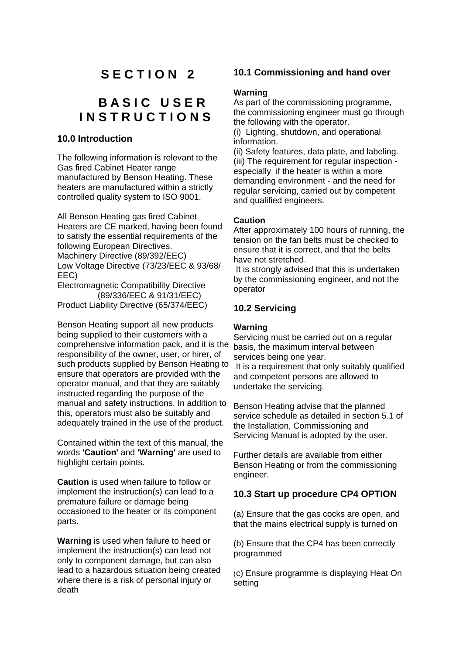## **S E C T I O N 2**

# **B A S I C U S E R I N S T R U C T I O N S 10.0 Introduction**

The following information is relevant to the Gas fired Cabinet Heater range manufactured by Benson Heating. These heaters are manufactured within a strictly controlled quality system to ISO 9001.

All Benson Heating gas fired Cabinet Heaters are CE marked, having been found to satisfy the essential requirements of the following European Directives.

Machinery Directive (89/392/EEC) Low Voltage Directive (73/23/EEC & 93/68/ EEC)

Electromagnetic Compatibility Directive (89/336/EEC & 91/31/EEC)

Product Liability Directive (65/374/EEC)

Benson Heating support all new products being supplied to their customers with a comprehensive information pack, and it is the responsibility of the owner, user, or hirer, of such products supplied by Benson Heating to ensure that operators are provided with the operator manual, and that they are suitably instructed regarding the purpose of the manual and safety instructions. In addition to this, operators must also be suitably and adequately trained in the use of the product.

Contained within the text of this manual, the words **'Caution'** and **'Warning'** are used to highlight certain points.

**Caution** is used when failure to follow or implement the instruction(s) can lead to a premature failure or damage being occasioned to the heater or its component parts.

**Warning** is used when failure to heed or implement the instruction(s) can lead not only to component damage, but can also lead to a hazardous situation being created where there is a risk of personal injury or death

#### **10.1 Commissioning and hand over**

#### **Warning**

As part of the commissioning programme, the commissioning engineer must go through the following with the operator.

(i) Lighting, shutdown, and operational information.

(ii) Safety features, data plate, and labeling. (iii) The requirement for regular inspection especially if the heater is within a more demanding environment - and the need for regular servicing, carried out by competent and qualified engineers.

#### **Caution**

After approximately 100 hours of running, the tension on the fan belts must be checked to ensure that it is correct, and that the belts have not stretched.

 It is strongly advised that this is undertaken by the commissioning engineer, and not the operator

#### **10.2 Servicing**

#### **Warning**

Servicing must be carried out on a regular basis, the maximum interval between services being one year. It is a requirement that only suitably qualified

and competent persons are allowed to undertake the servicing.

Benson Heating advise that the planned service schedule as detailed in section 5.1 of the Installation, Commissioning and Servicing Manual is adopted by the user.

Further details are available from either Benson Heating or from the commissioning engineer.

#### **10.3 Start up procedure CP4 OPTION**

(a) Ensure that the gas cocks are open, and that the mains electrical supply is turned on

(b) Ensure that the CP4 has been correctly programmed

(c) Ensure programme is displaying Heat On setting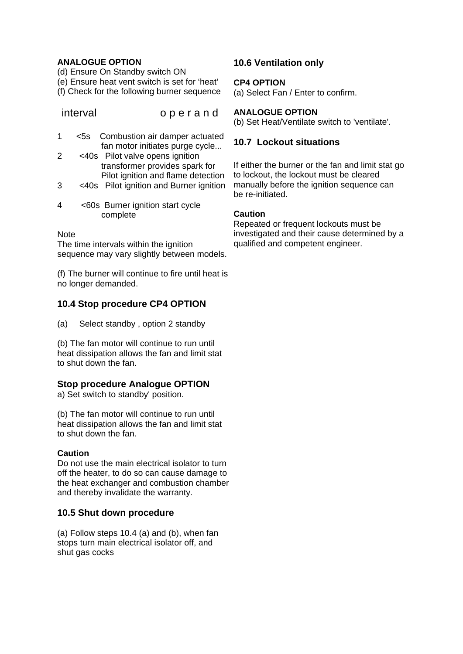#### **ANALOGUE OPTION**

- (d) Ensure On Standby switch ON
- (e) Ensure heat vent switch is set for 'heat'
- (f) Check for the following burner sequence

- 1 <5s Combustion air damper actuated fan motor initiates purge cycle...
- 2 <40s Pilot valve opens ignition transformer provides spark for Pilot ignition and flame detection
- 3 <40s Pilot ignition and Burner ignition
- 4 <60s Burner ignition start cycle complete

**Note** 

The time intervals within the ignition sequence may vary slightly between models.

(f) The burner will continue to fire until heat is no longer demanded.

#### **10.4 Stop procedure CP4 OPTION**

(a) Select standby , option 2 standby

(b) The fan motor will continue to run until heat dissipation allows the fan and limit stat to shut down the fan.

#### **Stop procedure Analogue OPTION**

a) Set switch to standby' position.

(b) The fan motor will continue to run until heat dissipation allows the fan and limit stat to shut down the fan.

#### **Caution**

Do not use the main electrical isolator to turn off the heater, to do so can cause damage to the heat exchanger and combustion chamber and thereby invalidate the warranty.

#### **10.5 Shut down procedure**

(a) Follow steps 10.4 (a) and (b), when fan stops turn main electrical isolator off, and shut gas cocks

#### **10.6 Ventilation only**

#### **CP4 OPTION**

(a) Select Fan / Enter to confirm.

#### **ANALOGUE OPTION**

(b) Set Heat/Ventilate switch to 'ventilate'.

#### **10.7 Lockout situations**

If either the burner or the fan and limit stat go to lockout, the lockout must be cleared manually before the ignition sequence can be re-initiated.

#### **Caution**

Repeated or frequent lockouts must be investigated and their cause determined by a qualified and competent engineer.